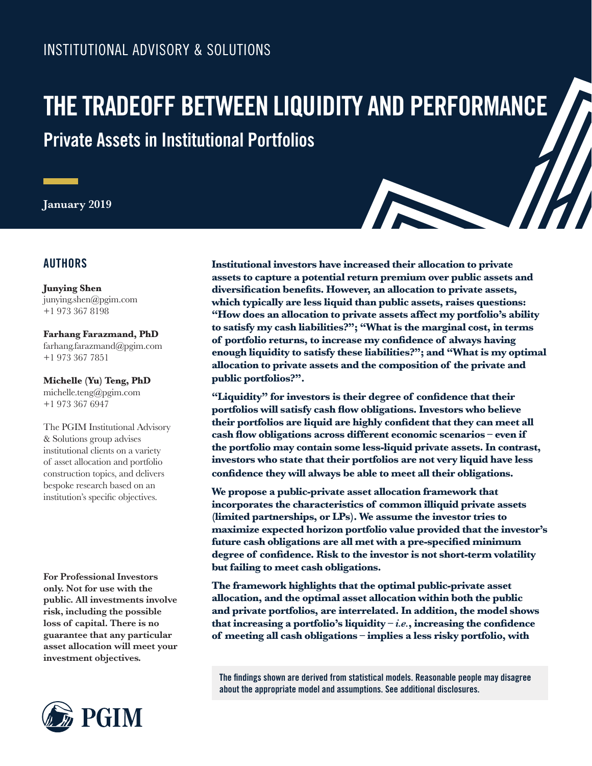# INSTITUTIONAL ADVISORY & SOLUTIONS

# **Private Assets in Institutional Portfolios THE TRADEOFF BETWEEN LIQUIDITY AND PERFORMANCE**

**January 2019**

## **AUTHORS**

**Junying Shen** junying.shen@pgim.com +1 973 367 8198

**Farhang Farazmand, PhD** farhang.farazmand@pgim.com +1 973 367 7851

**Michelle (Yu) Teng, PhD** michelle.teng@pgim.com

+1 973 367 6947

The PGIM Institutional Advisory & Solutions group advises institutional clients on a variety of asset allocation and portfolio construction topics, and delivers bespoke research based on an institution's specific objectives.

**For Professional Investors only. Not for use with the public. All investments involve risk, including the possible loss of capital. There is no guarantee that any particular asset allocation will meet your investment objectives.** 



**Institutional investors have increased their allocation to private assets to capture a potential return premium over public assets and diversification benefits. However, an allocation to private assets, which typically are less liquid than public assets, raises questions: "How does an allocation to private assets affect my portfolio's ability to satisfy my cash liabilities?"; "What is the marginal cost, in terms of portfolio returns, to increase my confidence of always having enough liquidity to satisfy these liabilities?"; and "What is my optimal allocation to private assets and the composition of the private and public portfolios?".**

**"Liquidity" for investors is their degree of confidence that their portfolios will satisfy cash flow obligations. Investors who believe their portfolios are liquid are highly confident that they can meet all cash flow obligations across different economic scenarios – even if the portfolio may contain some less-liquid private assets. In contrast, investors who state that their portfolios are not very liquid have less confidence they will always be able to meet all their obligations.**

**We propose a public-private asset allocation framework that incorporates the characteristics of common illiquid private assets (limited partnerships, or LPs). We assume the investor tries to maximize expected horizon portfolio value provided that the investor's future cash obligations are all met with a pre-specified minimum degree of confidence. Risk to the investor is not short-term volatility but failing to meet cash obligations.**

**The framework highlights that the optimal public-private asset allocation, and the optimal asset allocation within both the public and private portfolios, are interrelated. In addition, the model shows that increasing a portfolio's liquidity –** *i.e.***, increasing the confidence of meeting all cash obligations – implies a less risky portfolio, with** 

**The findings shown are derived from statistical models. Reasonable people may disagree about the appropriate model and assumptions. See additional disclosures.**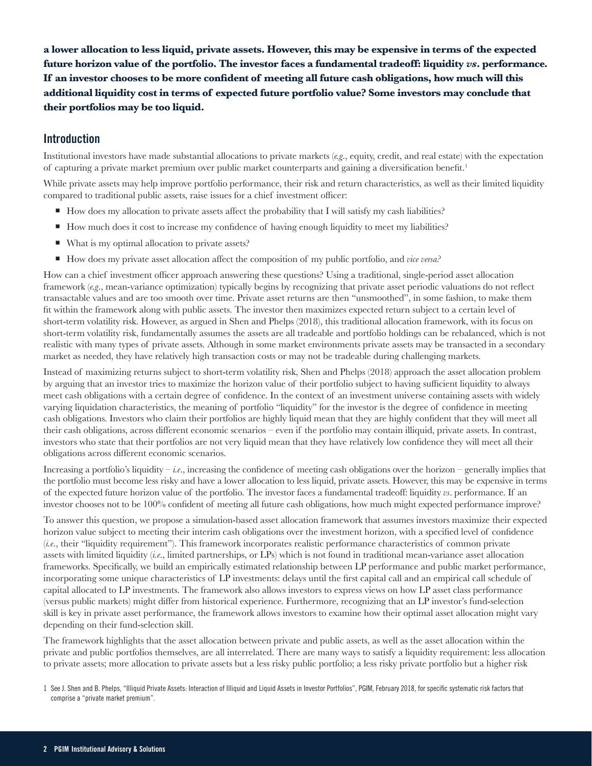**a lower allocation to less liquid, private assets. However, this may be expensive in terms of the expected future horizon value of the portfolio. The investor faces a fundamental tradeoff: liquidity** *vs***. performance. If an investor chooses to be more confident of meeting all future cash obligations, how much will this additional liquidity cost in terms of expected future portfolio value? Some investors may conclude that their portfolios may be too liquid.**

## **Introduction**

Institutional investors have made substantial allocations to private markets (*e.g*., equity, credit, and real estate) with the expectation of capturing a private market premium over public market counterparts and gaining a diversification benefit.<sup>1</sup>

While private assets may help improve portfolio performance, their risk and return characteristics, as well as their limited liquidity compared to traditional public assets, raise issues for a chief investment officer:

- $\blacksquare$  How does my allocation to private assets affect the probability that I will satisfy my cash liabilities?
- How much does it cost to increase my confidence of having enough liquidity to meet my liabilities?
- What is my optimal allocation to private assets?
- How does my private asset allocation affect the composition of my public portfolio, and *vice versa?*

How can a chief investment officer approach answering these questions? Using a traditional, single-period asset allocation framework (*e.g*., mean-variance optimization) typically begins by recognizing that private asset periodic valuations do not reflect transactable values and are too smooth over time. Private asset returns are then "unsmoothed", in some fashion, to make them fit within the framework along with public assets. The investor then maximizes expected return subject to a certain level of short-term volatility risk. However, as argued in Shen and Phelps (2018), this traditional allocation framework, with its focus on short-term volatility risk, fundamentally assumes the assets are all tradeable and portfolio holdings can be rebalanced, which is not realistic with many types of private assets. Although in some market environments private assets may be transacted in a secondary market as needed, they have relatively high transaction costs or may not be tradeable during challenging markets.

Instead of maximizing returns subject to short-term volatility risk, Shen and Phelps (2018) approach the asset allocation problem by arguing that an investor tries to maximize the horizon value of their portfolio subject to having sufficient liquidity to always meet cash obligations with a certain degree of confidence. In the context of an investment universe containing assets with widely varying liquidation characteristics, the meaning of portfolio "liquidity" for the investor is the degree of confidence in meeting cash obligations. Investors who claim their portfolios are highly liquid mean that they are highly confident that they will meet all their cash obligations, across different economic scenarios – even if the portfolio may contain illiquid, private assets. In contrast, investors who state that their portfolios are not very liquid mean that they have relatively low confidence they will meet all their obligations across different economic scenarios.

Increasing a portfolio's liquidity – *i.e*., increasing the confidence of meeting cash obligations over the horizon – generally implies that the portfolio must become less risky and have a lower allocation to less liquid, private assets. However, this may be expensive in terms of the expected future horizon value of the portfolio. The investor faces a fundamental tradeoff: liquidity *vs*. performance. If an investor chooses not to be 100% confident of meeting all future cash obligations, how much might expected performance improve?

To answer this question, we propose a simulation-based asset allocation framework that assumes investors maximize their expected horizon value subject to meeting their interim cash obligations over the investment horizon, with a specified level of confidence (*i.e*., their "liquidity requirement"). This framework incorporates realistic performance characteristics of common private assets with limited liquidity (*i.e*., limited partnerships, or LPs) which is not found in traditional mean-variance asset allocation frameworks. Specifically, we build an empirically estimated relationship between LP performance and public market performance, incorporating some unique characteristics of LP investments: delays until the first capital call and an empirical call schedule of capital allocated to LP investments. The framework also allows investors to express views on how LP asset class performance (versus public markets) might differ from historical experience. Furthermore, recognizing that an LP investor's fund-selection skill is key in private asset performance, the framework allows investors to examine how their optimal asset allocation might vary depending on their fund-selection skill.

The framework highlights that the asset allocation between private and public assets, as well as the asset allocation within the private and public portfolios themselves, are all interrelated. There are many ways to satisfy a liquidity requirement: less allocation to private assets; more allocation to private assets but a less risky public portfolio; a less risky private portfolio but a higher risk

<sup>1</sup> See J. Shen and B. Phelps, "Illiquid Private Assets: Interaction of Illiquid and Liquid Assets in Investor Portfolios", PGIM, February 2018, for specific systematic risk factors that comprise a "private market premium".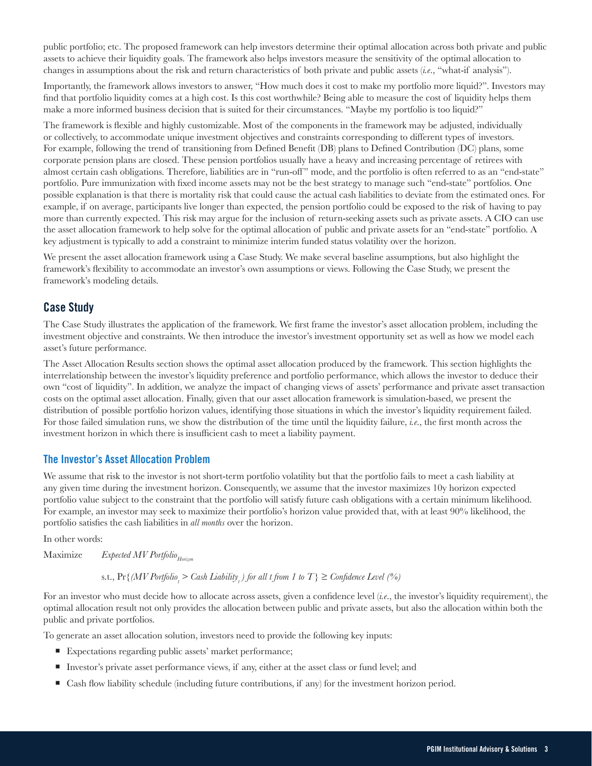public portfolio; etc. The proposed framework can help investors determine their optimal allocation across both private and public assets to achieve their liquidity goals. The framework also helps investors measure the sensitivity of the optimal allocation to changes in assumptions about the risk and return characteristics of both private and public assets (*i.e*., "what-if analysis").

Importantly, the framework allows investors to answer, "How much does it cost to make my portfolio more liquid?". Investors may find that portfolio liquidity comes at a high cost. Is this cost worthwhile? Being able to measure the cost of liquidity helps them make a more informed business decision that is suited for their circumstances. "Maybe my portfolio is too liquid?"

The framework is flexible and highly customizable. Most of the components in the framework may be adjusted, individually or collectively, to accommodate unique investment objectives and constraints corresponding to different types of investors. For example, following the trend of transitioning from Defined Benefit (DB) plans to Defined Contribution (DC) plans, some corporate pension plans are closed. These pension portfolios usually have a heavy and increasing percentage of retirees with almost certain cash obligations. Therefore, liabilities are in "run-off " mode, and the portfolio is often referred to as an "end-state" portfolio. Pure immunization with fixed income assets may not be the best strategy to manage such "end-state" portfolios. One possible explanation is that there is mortality risk that could cause the actual cash liabilities to deviate from the estimated ones. For example, if on average, participants live longer than expected, the pension portfolio could be exposed to the risk of having to pay more than currently expected. This risk may argue for the inclusion of return-seeking assets such as private assets. A CIO can use the asset allocation framework to help solve for the optimal allocation of public and private assets for an "end-state" portfolio. A key adjustment is typically to add a constraint to minimize interim funded status volatility over the horizon.

We present the asset allocation framework using a Case Study. We make several baseline assumptions, but also highlight the framework's flexibility to accommodate an investor's own assumptions or views. Following the Case Study, we present the framework's modeling details.

## **Case Study**

The Case Study illustrates the application of the framework. We first frame the investor's asset allocation problem, including the investment objective and constraints. We then introduce the investor's investment opportunity set as well as how we model each asset's future performance.

The Asset Allocation Results section shows the optimal asset allocation produced by the framework. This section highlights the interrelationship between the investor's liquidity preference and portfolio performance, which allows the investor to deduce their own "cost of liquidity". In addition, we analyze the impact of changing views of assets' performance and private asset transaction costs on the optimal asset allocation. Finally, given that our asset allocation framework is simulation-based, we present the distribution of possible portfolio horizon values, identifying those situations in which the investor's liquidity requirement failed. For those failed simulation runs, we show the distribution of the time until the liquidity failure, *i.e*., the first month across the investment horizon in which there is insufficient cash to meet a liability payment.

#### **The Investor's Asset Allocation Problem**

We assume that risk to the investor is not short-term portfolio volatility but that the portfolio fails to meet a cash liability at any given time during the investment horizon. Consequently, we assume that the investor maximizes 10y horizon expected portfolio value subject to the constraint that the portfolio will satisfy future cash obligations with a certain minimum likelihood. For example, an investor may seek to maximize their portfolio's horizon value provided that, with at least 90% likelihood, the portfolio satisfies the cash liabilities in *all months* over the horizon.

In other words:

Maximize *Expected MV Portfolio* 

## s.t.,  $\Pr\{ (MV\, Portfolio_{i} > Cash\; Liability_{i}\}$  for all t from 1 to T  $\} \geq$  Confidence Level (%)

For an investor who must decide how to allocate across assets, given a confidence level (*i.e*., the investor's liquidity requirement), the optimal allocation result not only provides the allocation between public and private assets, but also the allocation within both the public and private portfolios.

To generate an asset allocation solution, investors need to provide the following key inputs:

- Expectations regarding public assets' market performance;
- Investor's private asset performance views, if any, either at the asset class or fund level; and
- Cash flow liability schedule (including future contributions, if any) for the investment horizon period.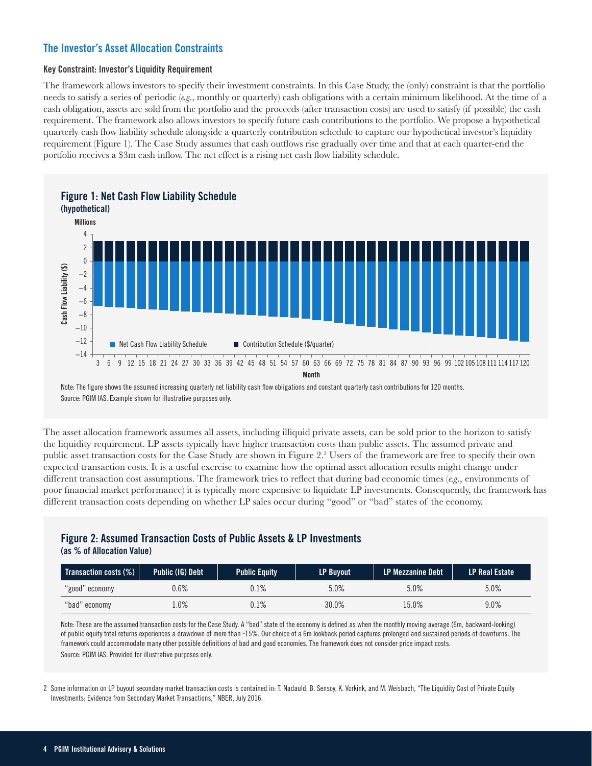## **The Investor's Asset Allocation Constraints**

#### **Key Constraint: Investor's Liquidity Requirement**

The framework allows investors to specify their investment constraints. In this Case Study, the (only) constraint is that the portfolio needs to satisfy a series of periodic (*e.g*., monthly or quarterly) cash obligations with a certain minimum likelihood. At the time of a cash obligation, assets are sold from the portfolio and the proceeds (after transaction costs) are used to satisfy (if possible) the cash requirement. The framework also allows investors to specify future cash contributions to the portfolio. We propose a hypothetical quarterly cash flow liability schedule alongside a quarterly contribution schedule to capture our hypothetical investor's liquidity requirement (Figure 1). The Case Study assumes that cash outflows rise gradually over time and that at each quarter-end the portfolio receives a \$3m cash inflow. The net effect is a rising net cash flow liability schedule.



Note: The figure shows the assumed increasing quarterly net liability cash flow obligations and constant quarterly cash contributions for 120 months. Source: PGIM IAS. Example shown for illustrative purposes only.

The asset allocation framework assumes all assets, including illiquid private assets, can be sold prior to the horizon to satisfy the liquidity requirement. LP assets typically have higher transaction costs than public assets. The assumed private and public asset transaction costs for the Case Study are shown in Figure 2.<sup>2</sup> Users of the framework are free to specify their own expected transaction costs. It is a useful exercise to examine how the optimal asset allocation results might change under different transaction cost assumptions. The framework tries to reflect that during bad economic times (*e.g*., environments of poor financial market performance) it is typically more expensive to liquidate LP investments. Consequently, the framework has different transaction costs depending on whether LP sales occur during "good" or "bad" states of the economy.

## **Figure 2: Assumed Transaction Costs of Public Assets & LP Investments**

**(as % of Allocation Value)**

| Transaction costs (%) | Public (IG) Debt 1 | <b>Public Equity</b> | <b>LP Buyout</b> | <b>LP Mezzanine Debt</b> | <b>LP Real Estate</b> |
|-----------------------|--------------------|----------------------|------------------|--------------------------|-----------------------|
| "good" economy        | $.6\%$             | 0.1%                 | 5.0%             | 5.0%                     | 5.0%                  |
| "bad" economy         | .0%                | $0.1\%$              | 30.0%            | 15.0%                    | 9.0%                  |

Note: These are the assumed transaction costs for the Case Study. A "bad" state of the economy is defined as when the monthly moving average (6m, backward-looking) of public equity total returns experiences a drawdown of more than -15%. Our choice of a 6m lookback period captures prolonged and sustained periods of downturns. The framework could accommodate many other possible definitions of bad and good economies. The framework does not consider price impact costs.

2 Some information on LP buyout secondary market transaction costs is contained in: T. Nadauld, B. Sensoy, K. Vorkink, and M. Weisbach, "The Liquidity Cost of Private Equity Investments: Evidence from Secondary Market Transactions," NBER, July 2016.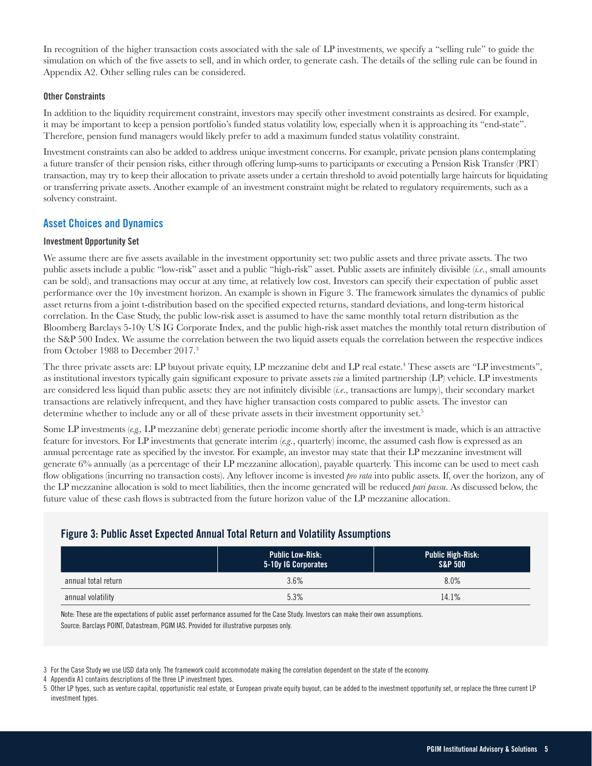In recognition of the higher transaction costs associated with the sale of LP investments, we specify a "selling rule" to guide the simulation on which of the five assets to sell, and in which order, to generate cash. The details of the selling rule can be found in Appendix A2. Other selling rules can be considered.

#### **Other Constraints**

In addition to the liquidity requirement constraint, investors may specify other investment constraints as desired. For example, it may be important to keep a pension portfolio's funded status volatility low, especially when it is approaching its "end-state". Therefore, pension fund managers would likely prefer to add a maximum funded status volatility constraint.

Investment constraints can also be added to address unique investment concerns. For example, private pension plans contemplating a future transfer of their pension risks, either through offering lump-sums to participants or executing a Pension Risk Transfer (PRT) transaction, may try to keep their allocation to private assets under a certain threshold to avoid potentially large haircuts for liquidating or transferring private assets. Another example of an investment constraint might be related to regulatory requirements, such as a solvency constraint.

#### **Asset Choices and Dynamics**

#### **Investment Opportunity Set**

We assume there are five assets available in the investment opportunity set: two public assets and three private assets. The two public assets include a public "low-risk" asset and a public "high-risk" asset. Public assets are infinitely divisible (*i.e*., small amounts can be sold), and transactions may occur at any time, at relatively low cost. Investors can specify their expectation of public asset performance over the 10y investment horizon. An example is shown in Figure 3. The framework simulates the dynamics of public asset returns from a joint t-distribution based on the specified expected returns, standard deviations, and long-term historical correlation. In the Case Study, the public low-risk asset is assumed to have the same monthly total return distribution as the Bloomberg Barclays 5-10y US IG Corporate Index, and the public high-risk asset matches the monthly total return distribution of the S&P 500 Index. We assume the correlation between the two liquid assets equals the correlation between the respective indices from October 1988 to December 2017.3

The three private assets are: LP buyout private equity, LP mezzanine debt and LP real estate.<sup>4</sup> These assets are "LP investments", as institutional investors typically gain significant exposure to private assets *via* a limited partnership (LP) vehicle. LP investments are considered less liquid than public assets: they are not infinitely divisible (*i.e*., transactions are lumpy), their secondary market transactions are relatively infrequent, and they have higher transaction costs compared to public assets. The investor can determine whether to include any or all of these private assets in their investment opportunity set.<sup>5</sup>

Some LP investments (*e.g.,* LP mezzanine debt) generate periodic income shortly after the investment is made, which is an attractive feature for investors. For LP investments that generate interim (*e.g*., quarterly) income, the assumed cash flow is expressed as an annual percentage rate as specified by the investor. For example, an investor may state that their LP mezzanine investment will generate 6% annually (as a percentage of their LP mezzanine allocation), payable quarterly. This income can be used to meet cash flow obligations (incurring no transaction costs). Any leftover income is invested *pro rata* into public assets. If, over the horizon, any of the LP mezzanine allocation is sold to meet liabilities, then the income generated will be reduced *pari passu*. As discussed below, the future value of these cash flows is subtracted from the future horizon value of the LP mezzanine allocation.

## **Figure 3: Public Asset Expected Annual Total Return and Volatility Assumptions**

|                     | <b>Public Low-Risk:</b><br>5-10y IG Corporates | <b>Public High-Risk:</b><br><b>S&amp;P 500</b> |
|---------------------|------------------------------------------------|------------------------------------------------|
| annual total return | 3.6%                                           | 8.0%                                           |
| annual volatility   | 5.3%                                           | 14.1%                                          |

Note: These are the expectations of public asset performance assumed for the Case Study. Investors can make their own assumptions. Source: Barclays POINT, Datastream, PGIM IAS. Provided for illustrative purposes only.

<sup>3</sup> For the Case Study we use USD data only. The framework could accommodate making the correlation dependent on the state of the economy.

Appendix A1 contains descriptions of the three LP investment types.

<sup>5</sup> Other LP types, such as venture capital, opportunistic real estate, or European private equity buyout, can be added to the investment opportunity set, or replace the three current LP investment types.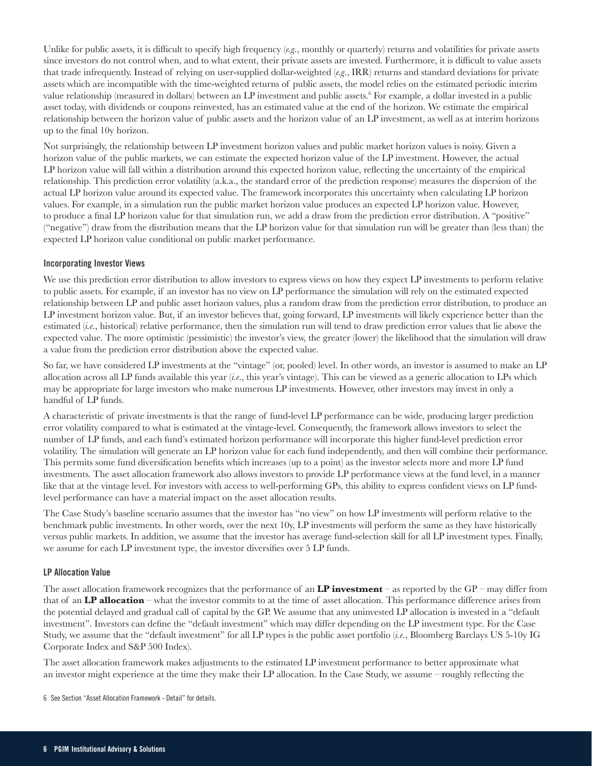Unlike for public assets, it is difficult to specify high frequency (*e.g*., monthly or quarterly) returns and volatilities for private assets since investors do not control when, and to what extent, their private assets are invested. Furthermore, it is difficult to value assets that trade infrequently. Instead of relying on user-supplied dollar-weighted (*e.g*., IRR) returns and standard deviations for private assets which are incompatible with the time-weighted returns of public assets, the model relies on the estimated periodic interim value relationship (measured in dollars) between an LP investment and public assets.<sup>6</sup> For example, a dollar invested in a public asset today, with dividends or coupons reinvested, has an estimated value at the end of the horizon. We estimate the empirical relationship between the horizon value of public assets and the horizon value of an LP investment, as well as at interim horizons up to the final 10y horizon.

Not surprisingly, the relationship between LP investment horizon values and public market horizon values is noisy. Given a horizon value of the public markets, we can estimate the expected horizon value of the LP investment. However, the actual LP horizon value will fall within a distribution around this expected horizon value, reflecting the uncertainty of the empirical relationship. This prediction error volatility (a.k.a., the standard error of the prediction response) measures the dispersion of the actual LP horizon value around its expected value. The framework incorporates this uncertainty when calculating LP horizon values. For example, in a simulation run the public market horizon value produces an expected LP horizon value. However, to produce a final LP horizon value for that simulation run, we add a draw from the prediction error distribution. A "positive" ("negative") draw from the distribution means that the LP horizon value for that simulation run will be greater than (less than) the expected LP horizon value conditional on public market performance.

#### **Incorporating Investor Views**

We use this prediction error distribution to allow investors to express views on how they expect LP investments to perform relative to public assets. For example, if an investor has no view on LP performance the simulation will rely on the estimated expected relationship between LP and public asset horizon values, plus a random draw from the prediction error distribution, to produce an LP investment horizon value. But, if an investor believes that, going forward, LP investments will likely experience better than the estimated (*i.e*., historical) relative performance, then the simulation run will tend to draw prediction error values that lie above the expected value. The more optimistic (pessimistic) the investor's view, the greater (lower) the likelihood that the simulation will draw a value from the prediction error distribution above the expected value.

So far, we have considered LP investments at the "vintage" (or, pooled) level. In other words, an investor is assumed to make an LP allocation across all LP funds available this year (*i.e*., this year's vintage). This can be viewed as a generic allocation to LPs which may be appropriate for large investors who make numerous LP investments. However, other investors may invest in only a handful of LP funds.

A characteristic of private investments is that the range of fund-level LP performance can be wide, producing larger prediction error volatility compared to what is estimated at the vintage-level. Consequently, the framework allows investors to select the number of LP funds, and each fund's estimated horizon performance will incorporate this higher fund-level prediction error volatility. The simulation will generate an LP horizon value for each fund independently, and then will combine their performance. This permits some fund diversification benefits which increases (up to a point) as the investor selects more and more LP fund investments. The asset allocation framework also allows investors to provide LP performance views at the fund level, in a manner like that at the vintage level. For investors with access to well-performing GPs, this ability to express confident views on LP fundlevel performance can have a material impact on the asset allocation results.

The Case Study's baseline scenario assumes that the investor has "no view" on how LP investments will perform relative to the benchmark public investments. In other words, over the next 10y, LP investments will perform the same as they have historically versus public markets. In addition, we assume that the investor has average fund-selection skill for all LP investment types. Finally, we assume for each LP investment type, the investor diversifies over 5 LP funds.

#### **LP Allocation Value**

The asset allocation framework recognizes that the performance of an **LP investment** – as reported by the GP – may differ from that of an **LP allocation** – what the investor commits to at the time of asset allocation. This performance difference arises from the potential delayed and gradual call of capital by the GP. We assume that any uninvested LP allocation is invested in a "default investment". Investors can define the "default investment" which may differ depending on the LP investment type. For the Case Study, we assume that the "default investment" for all LP types is the public asset portfolio (*i.e*., Bloomberg Barclays US 5-10y IG Corporate Index and S&P 500 Index).

The asset allocation framework makes adjustments to the estimated LP investment performance to better approximate what an investor might experience at the time they make their LP allocation. In the Case Study, we assume – roughly reflecting the

6 See Section "Asset Allocation Framework - Detail" for details.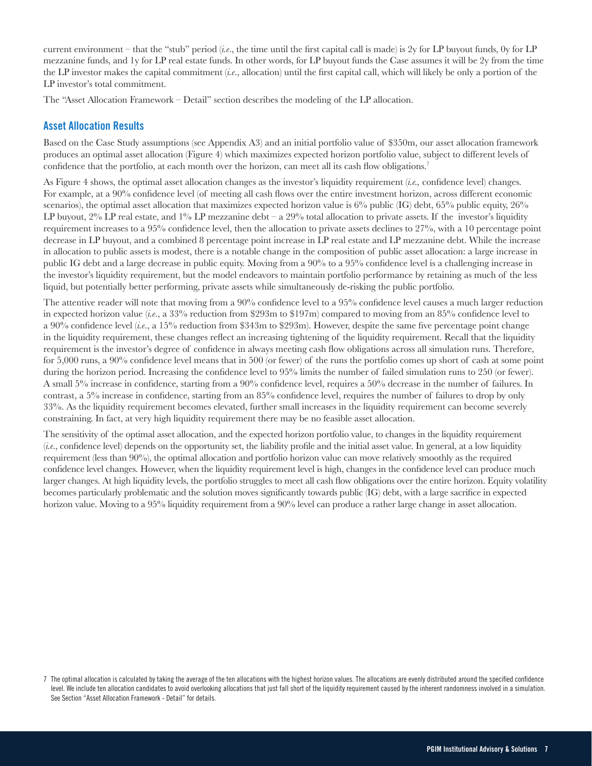current environment – that the "stub" period (*i.e*., the time until the first capital call is made) is 2y for LP buyout funds, 0y for LP mezzanine funds, and 1y for LP real estate funds. In other words, for LP buyout funds the Case assumes it will be 2y from the time the LP investor makes the capital commitment (*i.e*., allocation) until the first capital call, which will likely be only a portion of the LP investor's total commitment.

The "Asset Allocation Framework – Detail" section describes the modeling of the LP allocation.

#### **Asset Allocation Results**

Based on the Case Study assumptions (see Appendix A3) and an initial portfolio value of \$350m, our asset allocation framework produces an optimal asset allocation (Figure 4) which maximizes expected horizon portfolio value, subject to different levels of confidence that the portfolio, at each month over the horizon, can meet all its cash flow obligations.<sup>7</sup>

As Figure 4 shows, the optimal asset allocation changes as the investor's liquidity requirement (*i.e.,* confidence level) changes. For example, at a 90% confidence level (of meeting all cash flows over the entire investment horizon, across different economic scenarios), the optimal asset allocation that maximizes expected horizon value is  $6\%$  public (IG) debt,  $65\%$  public equity,  $26\%$ LP buyout, 2% LP real estate, and 1% LP mezzanine debt – a 29% total allocation to private assets. If the investor's liquidity requirement increases to a 95% confidence level, then the allocation to private assets declines to 27%, with a 10 percentage point decrease in LP buyout, and a combined 8 percentage point increase in LP real estate and LP mezzanine debt. While the increase in allocation to public assets is modest, there is a notable change in the composition of public asset allocation: a large increase in public IG debt and a large decrease in public equity. Moving from a 90% to a 95% confidence level is a challenging increase in the investor's liquidity requirement, but the model endeavors to maintain portfolio performance by retaining as much of the less liquid, but potentially better performing, private assets while simultaneously de-risking the public portfolio.

The attentive reader will note that moving from a 90% confidence level to a 95% confidence level causes a much larger reduction in expected horizon value (*i.e*., a 33% reduction from \$293m to \$197m) compared to moving from an 85% confidence level to a 90% confidence level (*i.e*., a 15% reduction from \$343m to \$293m). However, despite the same five percentage point change in the liquidity requirement, these changes reflect an increasing tightening of the liquidity requirement. Recall that the liquidity requirement is the investor's degree of confidence in always meeting cash flow obligations across all simulation runs. Therefore, for 5,000 runs, a 90% confidence level means that in 500 (or fewer) of the runs the portfolio comes up short of cash at some point during the horizon period. Increasing the confidence level to 95% limits the number of failed simulation runs to 250 (or fewer). A small 5% increase in confidence, starting from a 90% confidence level, requires a 50% decrease in the number of failures. In contrast, a 5% increase in confidence, starting from an 85% confidence level, requires the number of failures to drop by only 33%. As the liquidity requirement becomes elevated, further small increases in the liquidity requirement can become severely constraining. In fact, at very high liquidity requirement there may be no feasible asset allocation.

The sensitivity of the optimal asset allocation, and the expected horizon portfolio value, to changes in the liquidity requirement (*i.e*., confidence level) depends on the opportunity set, the liability profile and the initial asset value. In general, at a low liquidity requirement (less than 90%), the optimal allocation and portfolio horizon value can move relatively smoothly as the required confidence level changes. However, when the liquidity requirement level is high, changes in the confidence level can produce much larger changes. At high liquidity levels, the portfolio struggles to meet all cash flow obligations over the entire horizon. Equity volatility becomes particularly problematic and the solution moves significantly towards public (IG) debt, with a large sacrifice in expected horizon value. Moving to a 95% liquidity requirement from a 90% level can produce a rather large change in asset allocation.

<sup>7</sup> The optimal allocation is calculated by taking the average of the ten allocations with the highest horizon values. The allocations are evenly distributed around the specified confidence level. We include ten allocation candidates to avoid overlooking allocations that just fall short of the liquidity requirement caused by the inherent randomness involved in a simulation. See Section "Asset Allocation Framework - Detail" for details.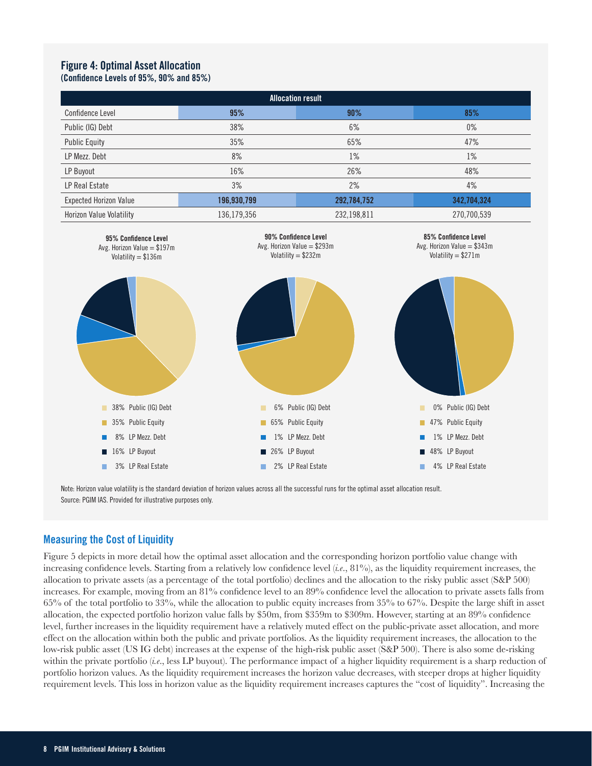#### **Figure 4: Optimal Asset Allocation (Confidence Levels of 95%, 90% and 85%)**

| <b>Allocation result</b>        |             |             |             |  |  |  |  |  |
|---------------------------------|-------------|-------------|-------------|--|--|--|--|--|
| Confidence Level                | 95%         | 90%         | 85%         |  |  |  |  |  |
| Public (IG) Debt                | 38%         | 6%          | $0\%$       |  |  |  |  |  |
| <b>Public Equity</b>            | 35%         | 65%         | 47%         |  |  |  |  |  |
| LP Mezz. Debt                   | 8%          | $1\%$       | 1%          |  |  |  |  |  |
| LP Buyout                       | 16%         | 26%         | 48%         |  |  |  |  |  |
| LP Real Estate                  | 3%          | 2%          | 4%          |  |  |  |  |  |
| <b>Expected Horizon Value</b>   | 196,930,799 | 292,784,752 | 342,704,324 |  |  |  |  |  |
| <b>Horizon Value Volatility</b> | 136,179,356 | 232,198,811 | 270,700,539 |  |  |  |  |  |



Note: Horizon value volatility is the standard deviation of horizon values across all the successful runs for the optimal asset allocation result. Source: PGIM IAS. Provided for illustrative purposes only.

#### **Measuring the Cost of Liquidity**

Figure 5 depicts in more detail how the optimal asset allocation and the corresponding horizon portfolio value change with increasing confidence levels. Starting from a relatively low confidence level (*i.e*., 81%), as the liquidity requirement increases, the allocation to private assets (as a percentage of the total portfolio) declines and the allocation to the risky public asset (S&P 500) increases. For example, moving from an 81% confidence level to an 89% confidence level the allocation to private assets falls from 65% of the total portfolio to 33%, while the allocation to public equity increases from 35% to 67%. Despite the large shift in asset allocation, the expected portfolio horizon value falls by \$50m, from \$359m to \$309m. However, starting at an 89% confidence level, further increases in the liquidity requirement have a relatively muted effect on the public-private asset allocation, and more effect on the allocation within both the public and private portfolios. As the liquidity requirement increases, the allocation to the low-risk public asset (US IG debt) increases at the expense of the high-risk public asset (S&P 500). There is also some de-risking within the private portfolio (*i.e.*, less LP buyout). The performance impact of a higher liquidity requirement is a sharp reduction of portfolio horizon values. As the liquidity requirement increases the horizon value decreases, with steeper drops at higher liquidity requirement levels. This loss in horizon value as the liquidity requirement increases captures the "cost of liquidity". Increasing the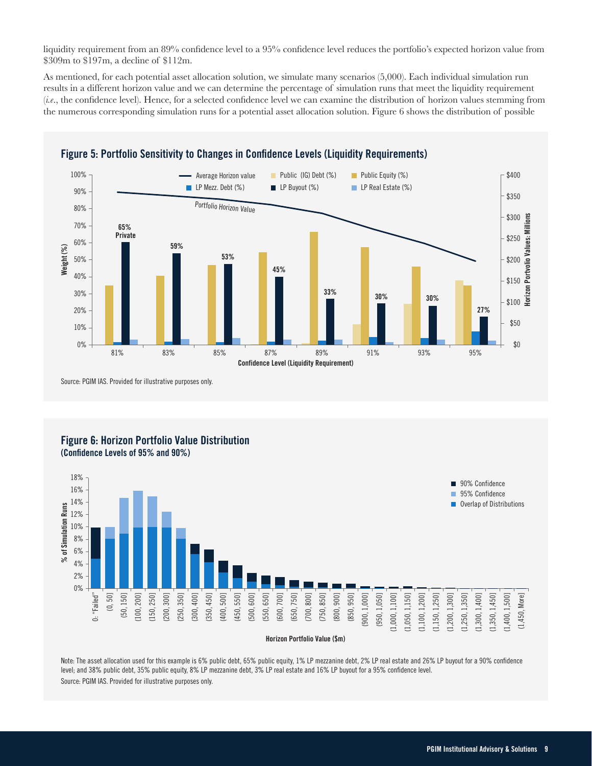liquidity requirement from an 89% confidence level to a 95% confidence level reduces the portfolio's expected horizon value from \$309m to \$197m, a decline of \$112m.

As mentioned, for each potential asset allocation solution, we simulate many scenarios (5,000). Each individual simulation run results in a different horizon value and we can determine the percentage of simulation runs that meet the liquidity requirement (*i.e*., the confidence level). Hence, for a selected confidence level we can examine the distribution of horizon values stemming from the numerous corresponding simulation runs for a potential asset allocation solution. Figure 6 shows the distribution of possible



**Figure 5: Portfolio Sensitivity to Changes in Confidence Levels (Liquidity Requirements)**

Source: PGIM IAS. Provided for illustrative purposes only.





Note: The asset allocation used for this example is 6% public debt, 65% public equity, 1% LP mezzanine debt, 2% LP real estate and 26% LP buyout for a 90% confidence level; and 38% public debt, 35% public equity, 8% LP mezzanine debt, 3% LP real estate and 16% LP buyout for a 95% confidence level.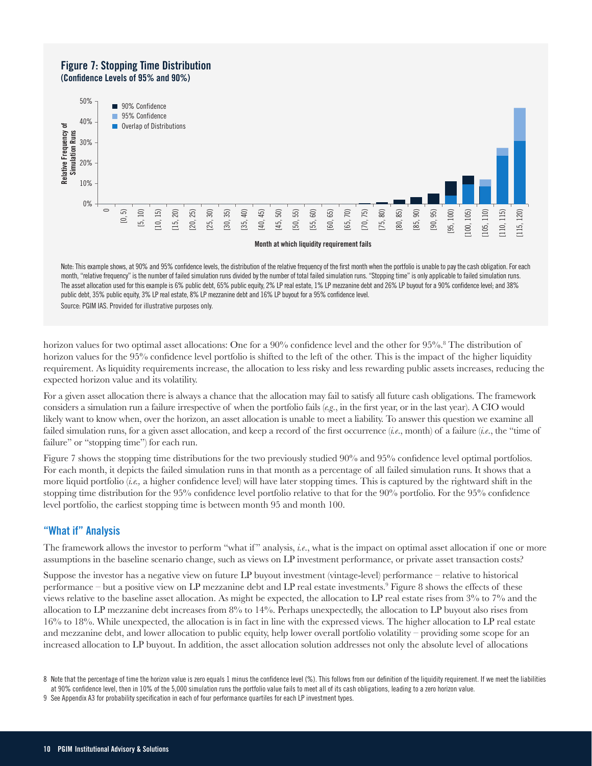#### **Figure 7: Stopping Time Distribution (Confidence Levels of 95% and 90%)**



Note: This example shows, at 90% and 95% confidence levels, the distribution of the relative frequency of the first month when the portfolio is unable to pay the cash obligation. For each month, "relative frequency" is the number of failed simulation runs divided by the number of total failed simulation runs. "Stopping time" is only applicable to failed simulation runs. The asset allocation used for this example is 6% public debt, 65% public equity, 2% LP real estate, 1% LP mezzanine debt and 26% LP buyout for a 90% confidence level; and 38% public debt, 35% public equity, 3% LP real estate, 8% LP mezzanine debt and 16% LP buyout for a 95% confidence level.

horizon values for two optimal asset allocations: One for a 90% confidence level and the other for 95%.<sup>8</sup> The distribution of horizon values for the 95% confidence level portfolio is shifted to the left of the other. This is the impact of the higher liquidity requirement. As liquidity requirements increase, the allocation to less risky and less rewarding public assets increases, reducing the expected horizon value and its volatility.

For a given asset allocation there is always a chance that the allocation may fail to satisfy all future cash obligations. The framework considers a simulation run a failure irrespective of when the portfolio fails (*e.g*., in the first year, or in the last year). A CIO would likely want to know when, over the horizon, an asset allocation is unable to meet a liability. To answer this question we examine all failed simulation runs, for a given asset allocation, and keep a record of the first occurrence (*i.e*., month) of a failure (*i.e*., the "time of failure" or "stopping time") for each run.

Figure 7 shows the stopping time distributions for the two previously studied 90% and 95% confidence level optimal portfolios. For each month, it depicts the failed simulation runs in that month as a percentage of all failed simulation runs. It shows that a more liquid portfolio (*i.e.,* a higher confidence level) will have later stopping times. This is captured by the rightward shift in the stopping time distribution for the 95% confidence level portfolio relative to that for the 90% portfolio. For the 95% confidence level portfolio, the earliest stopping time is between month 95 and month 100.

## **"What if" Analysis**

The framework allows the investor to perform "what if " analysis, *i.e*., what is the impact on optimal asset allocation if one or more assumptions in the baseline scenario change, such as views on LP investment performance, or private asset transaction costs?

Suppose the investor has a negative view on future LP buyout investment (vintage-level) performance – relative to historical performance – but a positive view on LP mezzanine debt and LP real estate investments.<sup>9</sup> Figure 8 shows the effects of these views relative to the baseline asset allocation. As might be expected, the allocation to LP real estate rises from 3% to 7% and the allocation to LP mezzanine debt increases from 8% to 14%. Perhaps unexpectedly, the allocation to LP buyout also rises from 16% to 18%. While unexpected, the allocation is in fact in line with the expressed views. The higher allocation to LP real estate and mezzanine debt, and lower allocation to public equity, help lower overall portfolio volatility – providing some scope for an increased allocation to LP buyout. In addition, the asset allocation solution addresses not only the absolute level of allocations

<sup>8</sup> Note that the percentage of time the horizon value is zero equals 1 minus the confidence level (%). This follows from our definition of the liquidity requirement. If we meet the liabilities at 90% confidence level, then in 10% of the 5,000 simulation runs the portfolio value fails to meet all of its cash obligations, leading to a zero horizon value.

<sup>9</sup> See Appendix A3 for probability specification in each of four performance quartiles for each LP investment types.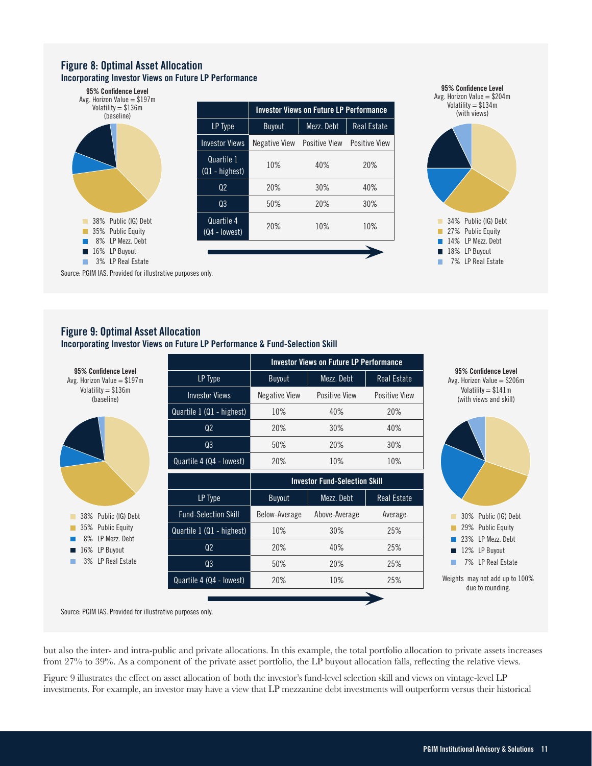#### **Figure 8: Optimal Asset Allocation Incorporating Investor Views on Future LP Performance**





Source: PGIM IAS. Provided for illustrative purposes only.

## **Figure 9: Optimal Asset Allocation**

**Incorporating Investor Views on Future LP Performance & Fund-Selection Skill**



Source: PGIM IAS. Provided for illustrative purposes only.

but also the inter- and intra-public and private allocations. In this example, the total portfolio allocation to private assets increases from 27% to 39%. As a component of the private asset portfolio, the LP buyout allocation falls, reflecting the relative views.

Figure 9 illustrates the effect on asset allocation of both the investor's fund-level selection skill and views on vintage-level LP investments. For example, an investor may have a view that LP mezzanine debt investments will outperform versus their historical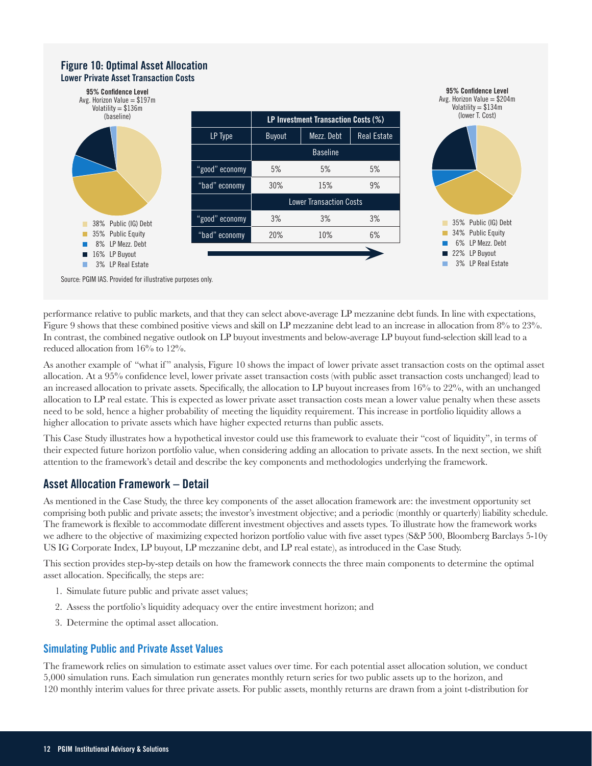#### **Figure 10: Optimal Asset Allocation Lower Private Asset Transaction Costs**



Source: PGIM IAS. Provided for illustrative purposes only.

performance relative to public markets, and that they can select above-average LP mezzanine debt funds. In line with expectations, Figure 9 shows that these combined positive views and skill on LP mezzanine debt lead to an increase in allocation from 8% to 23%. In contrast, the combined negative outlook on LP buyout investments and below-average LP buyout fund-selection skill lead to a reduced allocation from 16% to 12%.

As another example of "what if" analysis, Figure 10 shows the impact of lower private asset transaction costs on the optimal asset allocation. At a 95% confidence level, lower private asset transaction costs (with public asset transaction costs unchanged) lead to an increased allocation to private assets. Specifically, the allocation to LP buyout increases from 16% to 22%, with an unchanged allocation to LP real estate. This is expected as lower private asset transaction costs mean a lower value penalty when these assets need to be sold, hence a higher probability of meeting the liquidity requirement. This increase in portfolio liquidity allows a higher allocation to private assets which have higher expected returns than public assets.

This Case Study illustrates how a hypothetical investor could use this framework to evaluate their "cost of liquidity", in terms of their expected future horizon portfolio value, when considering adding an allocation to private assets. In the next section, we shift attention to the framework's detail and describe the key components and methodologies underlying the framework.

## **Asset Allocation Framework – Detail**

As mentioned in the Case Study, the three key components of the asset allocation framework are: the investment opportunity set comprising both public and private assets; the investor's investment objective; and a periodic (monthly or quarterly) liability schedule. The framework is flexible to accommodate different investment objectives and assets types. To illustrate how the framework works we adhere to the objective of maximizing expected horizon portfolio value with five asset types (S&P 500, Bloomberg Barclays 5-10y US IG Corporate Index, LP buyout, LP mezzanine debt, and LP real estate), as introduced in the Case Study.

This section provides step-by-step details on how the framework connects the three main components to determine the optimal asset allocation. Specifically, the steps are:

- 1. Simulate future public and private asset values;
- 2. Assess the portfolio's liquidity adequacy over the entire investment horizon; and
- 3. Determine the optimal asset allocation.

#### **Simulating Public and Private Asset Values**

The framework relies on simulation to estimate asset values over time. For each potential asset allocation solution, we conduct 5,000 simulation runs. Each simulation run generates monthly return series for two public assets up to the horizon, and 120 monthly interim values for three private assets. For public assets, monthly returns are drawn from a joint t-distribution for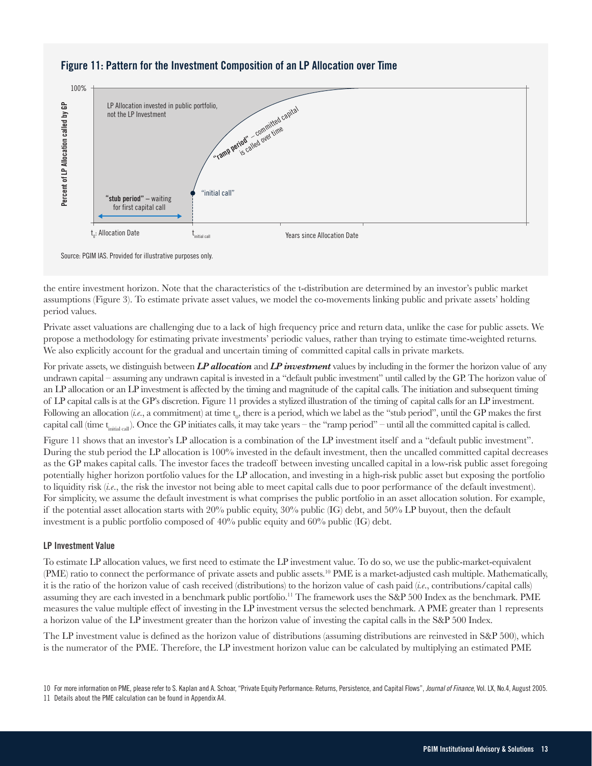

## **Figure 11: Pattern for the Investment Composition of an LP Allocation over Time**

Source: PGIM IAS. Provided for illustrative purposes only.

the entire investment horizon. Note that the characteristics of the t-distribution are determined by an investor's public market assumptions (Figure 3). To estimate private asset values, we model the co-movements linking public and private assets' holding period values.

Private asset valuations are challenging due to a lack of high frequency price and return data, unlike the case for public assets. We propose a methodology for estimating private investments' periodic values, rather than trying to estimate time-weighted returns. We also explicitly account for the gradual and uncertain timing of committed capital calls in private markets.

For private assets, we distinguish between *LP allocation* and *LP investment* values by including in the former the horizon value of any undrawn capital – assuming any undrawn capital is invested in a "default public investment" until called by the GP. The horizon value of an LP allocation or an LP investment is affected by the timing and magnitude of the capital calls. The initiation and subsequent timing of LP capital calls is at the GP's discretion. Figure 11 provides a stylized illustration of the timing of capital calls for an LP investment. Following an allocation (*i.e.*, a commitment) at time  $t_0$ , there is a period, which we label as the "stub period", until the GP makes the first capital call (time  $t_{initial}$ ). Once the GP initiates calls, it may take years – the "ramp period" – until all the committed capital is called.

Figure 11 shows that an investor's LP allocation is a combination of the LP investment itself and a "default public investment". During the stub period the LP allocation is 100% invested in the default investment, then the uncalled committed capital decreases as the GP makes capital calls. The investor faces the tradeoff between investing uncalled capital in a low-risk public asset foregoing potentially higher horizon portfolio values for the LP allocation, and investing in a high-risk public asset but exposing the portfolio to liquidity risk (*i.e*., the risk the investor not being able to meet capital calls due to poor performance of the default investment). For simplicity, we assume the default investment is what comprises the public portfolio in an asset allocation solution. For example, if the potential asset allocation starts with 20% public equity, 30% public (IG) debt, and 50% LP buyout, then the default investment is a public portfolio composed of 40% public equity and 60% public (IG) debt.

#### **LP Investment Value**

To estimate LP allocation values, we first need to estimate the LP investment value. To do so, we use the public-market-equivalent (PME) ratio to connect the performance of private assets and public assets.<sup>10</sup> PME is a market-adjusted cash multiple. Mathematically, it is the ratio of the horizon value of cash received (distributions) to the horizon value of cash paid (*i.e*., contributions/capital calls) assuming they are each invested in a benchmark public portfolio.11 The framework uses the S&P 500 Index as the benchmark. PME measures the value multiple effect of investing in the LP investment versus the selected benchmark. A PME greater than 1 represents a horizon value of the LP investment greater than the horizon value of investing the capital calls in the S&P 500 Index.

The LP investment value is defined as the horizon value of distributions (assuming distributions are reinvested in S&P 500), which is the numerator of the PME. Therefore, the LP investment horizon value can be calculated by multiplying an estimated PME

<sup>10</sup> For more information on PME, please refer to S. Kaplan and A. Schoar, "Private Equity Performance: Returns, Persistence, and Capital Flows", *Journal of Finance*, Vol. LX, No.4, August 2005. 11 Details about the PME calculation can be found in Appendix A4.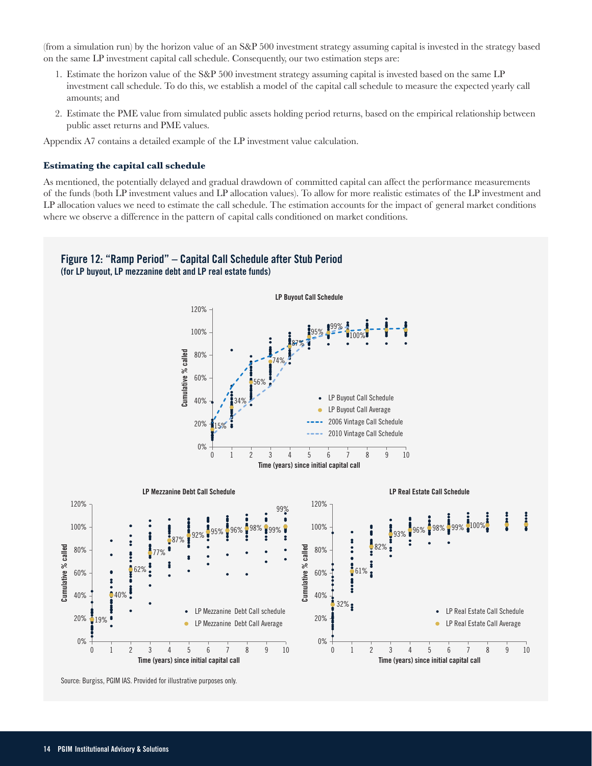(from a simulation run) by the horizon value of an S&P 500 investment strategy assuming capital is invested in the strategy based on the same LP investment capital call schedule. Consequently, our two estimation steps are:

- 1. Estimate the horizon value of the S&P 500 investment strategy assuming capital is invested based on the same LP investment call schedule. To do this, we establish a model of the capital call schedule to measure the expected yearly call amounts; and
- 2. Estimate the PME value from simulated public assets holding period returns, based on the empirical relationship between public asset returns and PME values.

Appendix A7 contains a detailed example of the LP investment value calculation.

#### **Estimating the capital call schedule**

As mentioned, the potentially delayed and gradual drawdown of committed capital can affect the performance measurements of the funds (both LP investment values and LP allocation values). To allow for more realistic estimates of the LP investment and LP allocation values we need to estimate the call schedule. The estimation accounts for the impact of general market conditions where we observe a difference in the pattern of capital calls conditioned on market conditions.

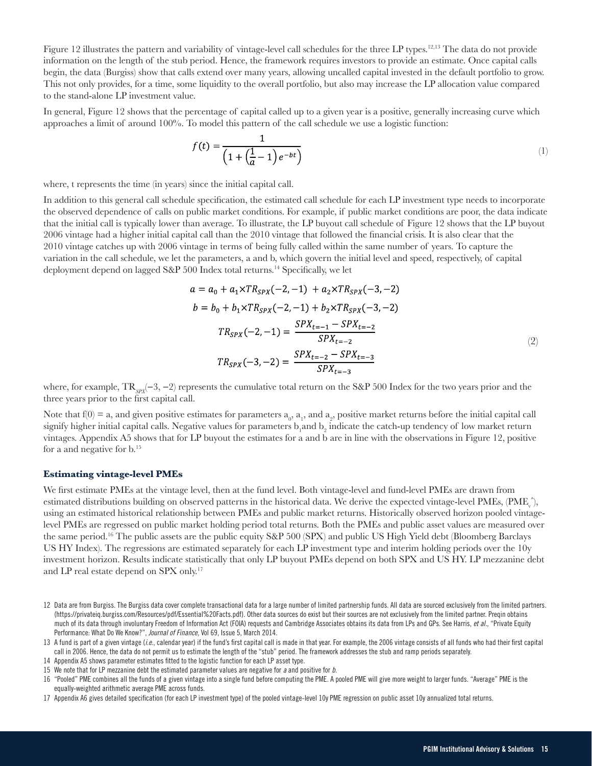Figure 12 illustrates the pattern and variability of vintage-level call schedules for the three LP types.<sup>12,13</sup> The data do not provide information on the length of the stub period. Hence, the framework requires investors to provide an estimate. Once capital calls begin, the data (Burgiss) show that calls extend over many years, allowing uncalled capital invested in the default portfolio to grow. This not only provides, for a time, some liquidity to the overall portfolio, but also may increase the LP allocation value compared to the stand-alone LP investment value.

In general, Figure 12 shows that the percentage of capital called up to a given year is a positive, generally increasing curve which approaches a limit of around 100%. To model this pattern of the call schedule we use a logistic function:

$$
f(t) = \frac{1}{\left(1 + \left(\frac{1}{a} - 1\right)e^{-bt}\right)}
$$
\n<sup>(1)</sup>

where, t represents the time (in years) since the initial capital call.

In addition to this general call schedule specification, the estimated call schedule for each LP investment type needs to incorporate the observed dependence of calls on public market conditions. For example, if public market conditions are poor, the data indicate that the initial call is typically lower than average. To illustrate, the LP buyout call schedule of Figure 12 shows that the LP buyout 2006 vintage had a higher initial capital call than the 2010 vintage that followed the financial crisis. It is also clear that the 2010 vintage catches up with 2006 vintage in terms of being fully called within the same number of years. To capture the variation in the call schedule, we let the parameters, a and b, which govern the initial level and speed, respectively, of capital deployment depend on lagged S&P 500 Index total returns.<sup>14</sup> Specifically, we let

$$
a = a_0 + a_1 \times TR_{SPX}(-2, -1) + a_2 \times TR_{SPX}(-3, -2)
$$
  
\n
$$
b = b_0 + b_1 \times TR_{SPX}(-2, -1) + b_2 \times TR_{SPX}(-3, -2)
$$
  
\n
$$
TR_{SPX}(-2, -1) = \frac{SPX_{t=-1} - SPX_{t=-2}}{SPX_{t=-2}}
$$
  
\n
$$
TR_{SPX}(-3, -2) = \frac{SPX_{t=-2} - SPX_{t=-3}}{SPX_{t=-3}}
$$
\n(2)

where, for example, TR<sub>SPX</sub>(−3, −2) represents the cumulative total return on the S&P 500 Index for the two years prior and the three years prior to the first capital call.

Note that  $f(0) = a$ , and given positive estimates for parameters  $a_0$ ,  $a_1$ , and  $a_2$ , positive market returns before the initial capital call signify higher initial capital calls. Negative values for parameters  $b_1$  and  $b_2$  indicate the catch-up tendency of low market return vintages. Appendix A5 shows that for LP buyout the estimates for a and b are in line with the observations in Figure 12, positive for a and negative for b.15

#### **Estimating vintage-level PMEs**

We first estimate PMEs at the vintage level, then at the fund level. Both vintage-level and fund-level PMEs are drawn from estimated distributions building on observed patterns in the historical data. We derive the expected vintage-level PMEs, (PME $^{\circ}_{\rm v}$ ), using an estimated historical relationship between PMEs and public market returns. Historically observed horizon pooled vintagelevel PMEs are regressed on public market holding period total returns. Both the PMEs and public asset values are measured over the same period.16 The public assets are the public equity S&P 500 (SPX) and public US High Yield debt (Bloomberg Barclays US HY Index). The regressions are estimated separately for each LP investment type and interim holding periods over the 10y investment horizon. Results indicate statistically that only LP buyout PMEs depend on both SPX and US HY. LP mezzanine debt and LP real estate depend on SPX only.<sup>17</sup>

<sup>12</sup> Data are from Burgiss. The Burgiss data cover complete transactional data for a large number of limited partnership funds. All data are sourced exclusively from the limited partners. (https://privateiq.burgiss.com/Resources/pdf/Essential%20Facts.pdf). Other data sources do exist but their sources are not exclusively from the limited partner. Preqin obtains much of its data through involuntary Freedom of Information Act (FOIA) requests and Cambridge Associates obtains its data from LPs and GPs. See Harris, *et al.,* "Private Equity Performance: What Do We Know?", *Journal of Finance*, Vol 69, Issue 5, March 2014.

<sup>13</sup> A fund is part of a given vintage (*i.e.*, calendar year) if the fund's first capital call is made in that year. For example, the 2006 vintage consists of all funds who had their first capital call in 2006. Hence, the data do not permit us to estimate the length of the "stub" period. The framework addresses the stub and ramp periods separately.

<sup>14</sup> Appendix A5 shows parameter estimates fitted to the logistic function for each LP asset type.

<sup>15</sup> We note that for LP mezzanine debt the estimated parameter values are negative for *a* and positive for *b*.

<sup>16 &</sup>quot;Pooled" PME combines all the funds of a given vintage into a single fund before computing the PME. A pooled PME will give more weight to larger funds. "Average" PME is the equally-weighted arithmetic average PME across funds.

<sup>17</sup> Appendix A6 gives detailed specification (for each LP investment type) of the pooled vintage-level 10y PME regression on public asset 10y annualized total returns.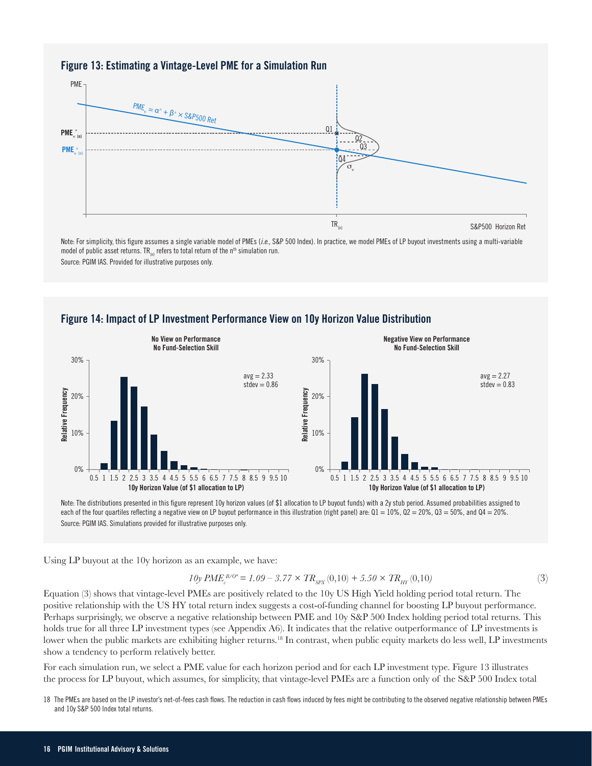#### **Figure 13: Estimating a Vintage-Level PME for a Simulation Run**



Note: For simplicity, this figure assumes a single variable model of PMEs (*i.e*., S&P 500 Index). In practice, we model PMEs of LP buyout investments using a multi-variable model of public asset returns. TR<sub>(n)</sub> refers to total return of the n<sup>th</sup> simulation run. Source: PGIM IAS. Provided for illustrative purposes only.

### **Figure 14: Impact of LP Investment Performance View on 10y Horizon Value Distribution**



Note: The distributions presented in this figure represent 10y horizon values (of \$1 allocation to LP buyout funds) with a 2y stub period. Assumed probabilities assigned to each of the four quartiles reflecting a negative view on LP buyout performance in this illustration (right panel) are:  $Q1 = 10\%$ ,  $Q2 = 20\%$ ,  $Q3 = 50\%$ , and  $Q4 = 20\%$ .

Using LP buyout at the 10y horizon as an example, we have:

$$
10y \ PME_v^{B/O*} = 1.09 - 3.77 \times TR_{SPX}(0,10) + 5.50 \times TR_{HT}(0,10)
$$
\n(3)

Equation (3) shows that vintage-level PMEs are positively related to the 10y US High Yield holding period total return. The positive relationship with the US HY total return index suggests a cost-of-funding channel for boosting LP buyout performance. Perhaps surprisingly, we observe a negative relationship between PME and 10y S&P 500 Index holding period total returns. This holds true for all three LP investment types (see Appendix A6). It indicates that the relative outperformance of LP investments is lower when the public markets are exhibiting higher returns.<sup>18</sup> In contrast, when public equity markets do less well, LP investments show a tendency to perform relatively better.

For each simulation run, we select a PME value for each horizon period and for each LP investment type. Figure 13 illustrates the process for LP buyout, which assumes, for simplicity, that vintage-level PMEs are a function only of the S&P 500 Index total

18 The PMEs are based on the LP investor's net-of-fees cash flows. The reduction in cash flows induced by fees might be contributing to the observed negative relationship between PMEs and 10y S&P 500 Index total returns.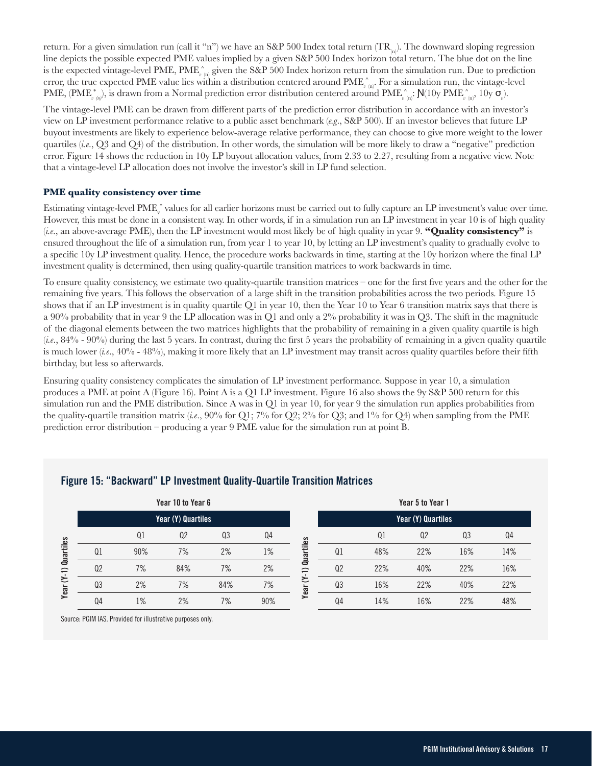return. For a given simulation run (call it "n") we have an S&P 500 Index total return  $(TR_{\nu})$ . The downward sloping regression line depicts the possible expected PME values implied by a given S&P 500 Index horizon total return. The blue dot on the line is the expected vintage-level PME, PME<sub> $v(n)$ </sub> given the S&P 500 Index horizon return from the simulation run. Due to prediction error, the true expected PME value lies within a distribution centered around PME<sub>*v*(n)</sub>. For a simulation run, the vintage-level PME,  $(PME_{\nu}^*_{\nu}$ ), is drawn from a Normal prediction error distribution centered around  $PME_{\nu}^*_{\nu}$  (i):  $N(10y \text{ PME}_{\nu}^*_{\nu}$  10y  $\sigma_{\nu}$ ).

The vintage-level PME can be drawn from different parts of the prediction error distribution in accordance with an investor's view on LP investment performance relative to a public asset benchmark (*e.g*., S&P 500). If an investor believes that future LP buyout investments are likely to experience below-average relative performance, they can choose to give more weight to the lower quartiles (*i.e*., Q3 and Q4) of the distribution. In other words, the simulation will be more likely to draw a "negative" prediction error. Figure 14 shows the reduction in 10y LP buyout allocation values, from 2.33 to 2.27, resulting from a negative view. Note that a vintage-level LP allocation does not involve the investor's skill in LP fund selection.

#### **PME quality consistency over time**

Estimating vintage-level PME<sub>v</sub><sup>\*</sup> values for all earlier horizons must be carried out to fully capture an LP investment's value over time. However, this must be done in a consistent way. In other words, if in a simulation run an LP investment in year 10 is of high quality (*i.e*., an above-average PME), then the LP investment would most likely be of high quality in year 9. **"Quality consistency"** is ensured throughout the life of a simulation run, from year 1 to year 10, by letting an LP investment's quality to gradually evolve to a specific 10y LP investment quality. Hence, the procedure works backwards in time, starting at the 10y horizon where the final LP investment quality is determined, then using quality-quartile transition matrices to work backwards in time.

To ensure quality consistency, we estimate two quality-quartile transition matrices – one for the first five years and the other for the remaining five years. This follows the observation of a large shift in the transition probabilities across the two periods. Figure 15 shows that if an LP investment is in quality quartile Q1 in year 10, then the Year 10 to Year 6 transition matrix says that there is a 90% probability that in year 9 the LP allocation was in Q1 and only a 2% probability it was in Q3. The shift in the magnitude of the diagonal elements between the two matrices highlights that the probability of remaining in a given quality quartile is high (*i.e*., 84% - 90%) during the last 5 years. In contrast, during the first 5 years the probability of remaining in a given quality quartile is much lower (*i.e*., 40% - 48%), making it more likely that an LP investment may transit across quality quartiles before their fifth birthday, but less so afterwards.

Ensuring quality consistency complicates the simulation of LP investment performance. Suppose in year 10, a simulation produces a PME at point A (Figure 16). Point A is a Q1 LP investment. Figure 16 also shows the 9y S&P 500 return for this simulation run and the PME distribution. Since A was in Q1 in year 10, for year 9 the simulation run applies probabilities from the quality-quartile transition matrix (*i.e*., 90% for Q1; 7% for Q2; 2% for Q3; and 1% for Q4) when sampling from the PME prediction error distribution – producing a year 9 PME value for the simulation run at point B.

| Year 10 to Year 6     |                    |                |                |                |     |                               |                    | Year 5 to Year 1 |                |                |     |
|-----------------------|--------------------|----------------|----------------|----------------|-----|-------------------------------|--------------------|------------------|----------------|----------------|-----|
|                       | Year (Y) Quartiles |                |                |                |     |                               | Year (Y) Quartiles |                  |                |                |     |
|                       |                    | Q <sub>1</sub> | Q <sub>2</sub> | Q <sub>3</sub> | Q4  | S                             |                    | Q <sub>1</sub>   | Q <sub>2</sub> | Q <sub>3</sub> | Q4  |
| <b>lartiles</b>       | Q <sub>1</sub>     | 90%            | 7%             | 2%             | 1%  | uartiles                      | Q <sub>1</sub>     | 48%              | 22%            | 16%            | 14% |
| ā<br>$\widehat{\tau}$ | Q <sub>2</sub>     | 7%             | 84%            | 7%             | 2%  | $\mathbf{C}$<br>$\Rightarrow$ | Q <sub>2</sub>     | 22%              | 40%            | 22%            | 16% |
| ≿<br>Year             | Q <sub>3</sub>     | 2%             | 7%             | 84%            | 7%  | ≍<br>Year                     | Q <sub>3</sub>     | 16%              | 22%            | 40%            | 22% |
|                       | Q <sub>4</sub>     | 1%             | 2%             | 7%             | 90% |                               | Q4                 | 14%              | 16%            | 22%            | 48% |

#### **Figure 15: "Backward" LP Investment Quality-Quartile Transition Matrices**

Source: PGIM IAS. Provided for illustrative purposes only.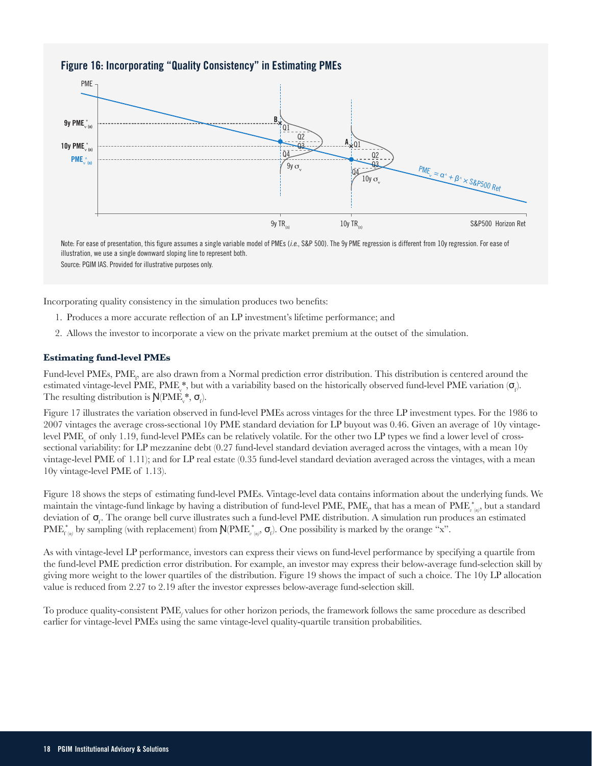#### **Figure 16: Incorporating "Quality Consistency" in Estimating PMEs**



illustration, we use a single downward sloping line to represent both. Source: PGIM IAS. Provided for illustrative purposes only.

Incorporating quality consistency in the simulation produces two benefits:

- 1. Produces a more accurate reflection of an LP investment's lifetime performance; and
- 2. Allows the investor to incorporate a view on the private market premium at the outset of the simulation.

#### **Estimating fund-level PMEs**

Fund-level PMEs,  $\text{PME}_p$  are also drawn from a Normal prediction error distribution. This distribution is centered around the estimated vintage-level PME, PME,\*, but with a variability based on the historically observed fund-level PME variation  $(\sigma_{\rho})$ . The resulting distribution is  $N(PME_v^*, \sigma_f)$ .

Figure 17 illustrates the variation observed in fund-level PMEs across vintages for the three LP investment types. For the 1986 to 2007 vintages the average cross-sectional 10y PME standard deviation for LP buyout was 0.46. Given an average of 10y vintagelevel  $\rm{PME}_{v}$  of only 1.19, fund-level  $\rm{PMEs}$  can be relatively volatile. For the other two LP types we find a lower level of crosssectional variability: for LP mezzanine debt (0.27 fund-level standard deviation averaged across the vintages, with a mean 10y vintage-level PME of 1.11); and for LP real estate (0.35 fund-level standard deviation averaged across the vintages, with a mean 10y vintage-level PME of 1.13).

Figure 18 shows the steps of estimating fund-level PMEs. Vintage-level data contains information about the underlying funds. We maintain the vintage-fund linkage by having a distribution of fund-level PME, PME<sub>p</sub> that has a mean of PME<sub>v<sup>(n)</sub>, but a standard</sub></sup> deviation of  $\sigma_r$ . The orange bell curve illustrates such a fund-level PME distribution. A simulation run produces an estimated  $\text{PME}_{f(p)}^{*}$  by sampling (with replacement) from  $\mathsf{N}(\text{PME}_{v(p)}^{*}, \mathsf{\sigma}_{p})$ . One possibility is marked by the orange "x".

As with vintage-level LP performance, investors can express their views on fund-level performance by specifying a quartile from the fund-level PME prediction error distribution. For example, an investor may express their below-average fund-selection skill by giving more weight to the lower quartiles of the distribution. Figure 19 shows the impact of such a choice. The 10y LP allocation value is reduced from 2.27 to 2.19 after the investor expresses below-average fund-selection skill.

To produce quality-consistent PME<sub>f</sub> values for other horizon periods, the framework follows the same procedure as described earlier for vintage-level PMEs using the same vintage-level quality-quartile transition probabilities.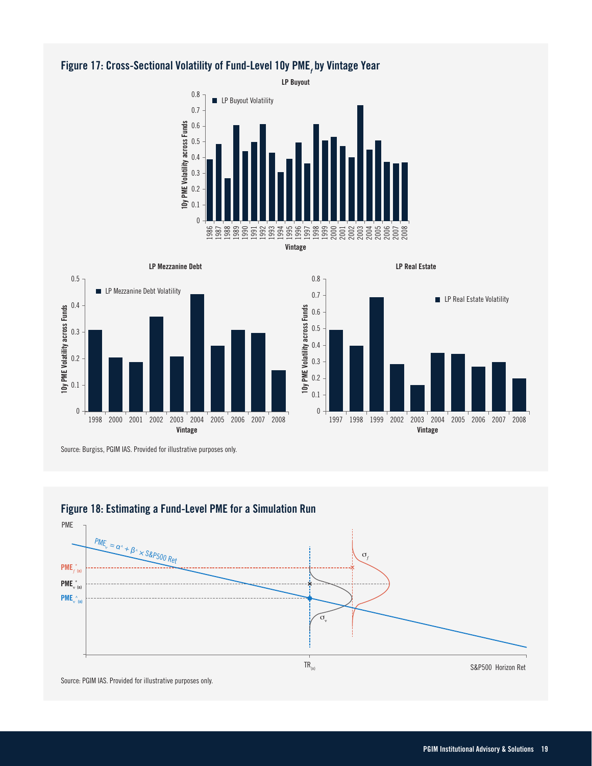# **Figure 17: Cross-Sectional Volatility of Fund-Level 10y PME***<sup>f</sup>*  **by Vintage Year**









**LP Real Estate**

Source: Burgiss, PGIM IAS. Provided for illustrative purposes only.

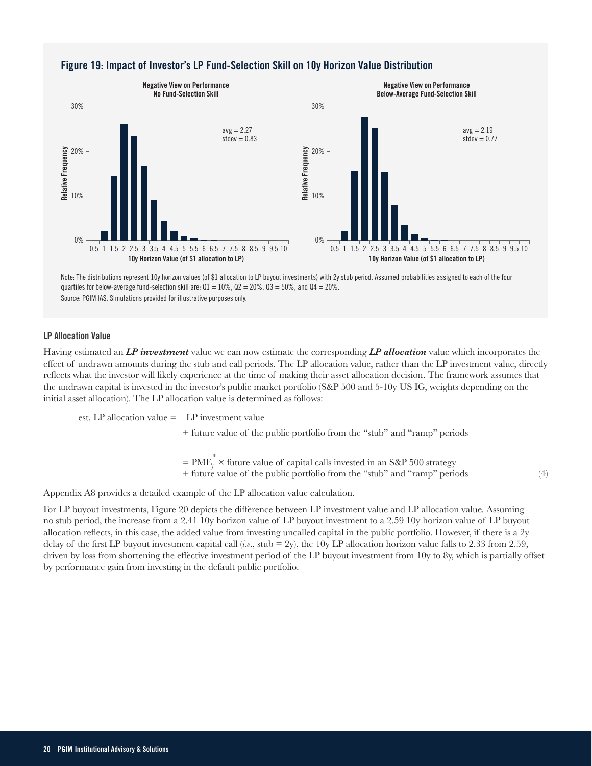

## **Figure 19: Impact of Investor's LP Fund-Selection Skill on 10y Horizon Value Distribution**

Note: The distributions represent 10y horizon values (of \$1 allocation to LP buyout investments) with 2y stub period. Assumed probabilities assigned to each of the four quartiles for below-average fund-selection skill are:  $Q1 = 10\%$ ,  $Q2 = 20\%$ ,  $Q3 = 50\%$ , and  $Q4 = 20\%$ .

#### **LP Allocation Value**

Having estimated an *LP investment* value we can now estimate the corresponding *LP allocation* value which incorporates the effect of undrawn amounts during the stub and call periods. The LP allocation value, rather than the LP investment value, directly reflects what the investor will likely experience at the time of making their asset allocation decision. The framework assumes that the undrawn capital is invested in the investor's public market portfolio (S&P 500 and 5-10y US IG, weights depending on the initial asset allocation). The LP allocation value is determined as follows:

est. LP allocation value  $=$  LP investment value

+ future value of the public portfolio from the "stub" and "ramp" periods

 $=$  PME<sub>f</sub><sup>\*</sup>  $\times$  future value of capital calls invested in an S&P 500 strategy + future value of the public portfolio from the "stub" and "ramp" periods (4)

Appendix A8 provides a detailed example of the LP allocation value calculation.

For LP buyout investments, Figure 20 depicts the difference between LP investment value and LP allocation value. Assuming no stub period, the increase from a 2.41 10y horizon value of LP buyout investment to a 2.59 10y horizon value of LP buyout allocation reflects, in this case, the added value from investing uncalled capital in the public portfolio. However, if there is a 2y delay of the first LP buyout investment capital call (*i.e*., stub = 2y), the 10y LP allocation horizon value falls to 2.33 from 2.59, driven by loss from shortening the effective investment period of the LP buyout investment from 10y to 8y, which is partially offset by performance gain from investing in the default public portfolio.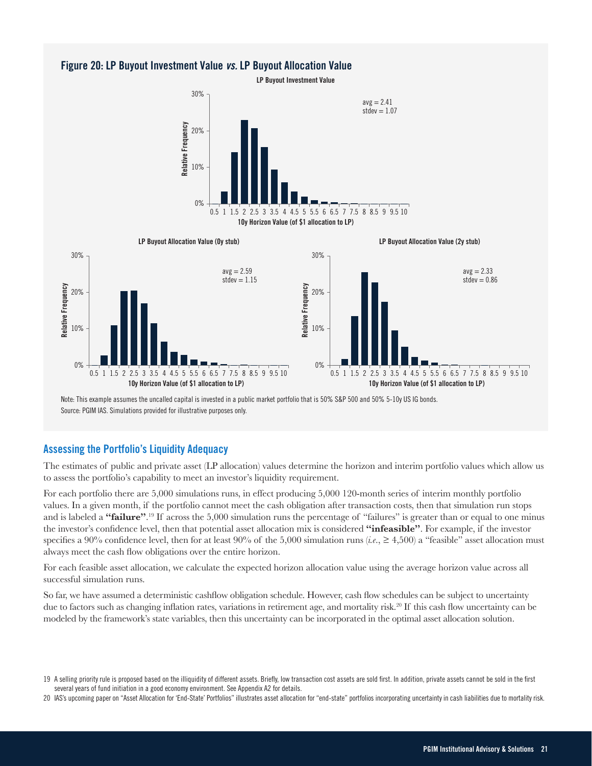#### **Figure 20: LP Buyout Investment Value** *vs.* **LP Buyout Allocation Value**

**LP Buyout Investment Value**





Note: This example assumes the uncalled capital is invested in a public market portfolio that is 50% S&P 500 and 50% 5-10y US IG bonds.

#### **Assessing the Portfolio's Liquidity Adequacy**

The estimates of public and private asset (LP allocation) values determine the horizon and interim portfolio values which allow us to assess the portfolio's capability to meet an investor's liquidity requirement.

For each portfolio there are 5,000 simulations runs, in effect producing 5,000 120-month series of interim monthly portfolio values. In a given month, if the portfolio cannot meet the cash obligation after transaction costs, then that simulation run stops and is labeled a **"failure"**. <sup>19</sup> If across the 5,000 simulation runs the percentage of "failures" is greater than or equal to one minus the investor's confidence level, then that potential asset allocation mix is considered **"infeasible"**. For example, if the investor specifies a 90% confidence level, then for at least 90% of the 5,000 simulation runs (*i.e*., ≥ 4,500) a "feasible" asset allocation must always meet the cash flow obligations over the entire horizon.

For each feasible asset allocation, we calculate the expected horizon allocation value using the average horizon value across all successful simulation runs.

So far, we have assumed a deterministic cashflow obligation schedule. However, cash flow schedules can be subject to uncertainty due to factors such as changing inflation rates, variations in retirement age, and mortality risk.<sup>20</sup> If this cash flow uncertainty can be modeled by the framework's state variables, then this uncertainty can be incorporated in the optimal asset allocation solution.

<sup>19</sup> A selling priority rule is proposed based on the illiquidity of different assets. Briefly, low transaction cost assets are sold first. In addition, private assets cannot be sold in the first several years of fund initiation in a good economy environment. See Appendix A2 for details.

<sup>20</sup> IAS's upcoming paper on "Asset Allocation for 'End-State' Portfolios" illustrates asset allocation for "end-state" portfolios incorporating uncertainty in cash liabilities due to mortality risk.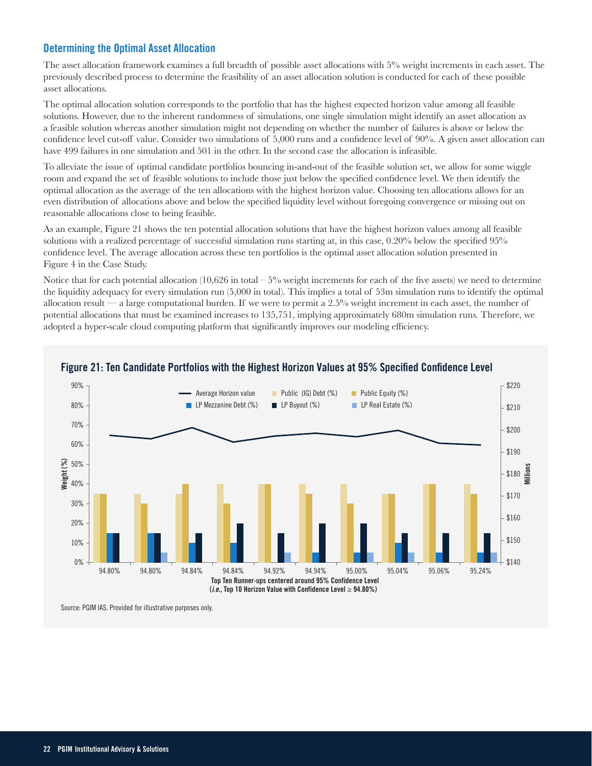## **Determining the Optimal Asset Allocation**

The asset allocation framework examines a full breadth of possible asset allocations with 5% weight increments in each asset. The previously described process to determine the feasibility of an asset allocation solution is conducted for each of these possible asset allocations.

The optimal allocation solution corresponds to the portfolio that has the highest expected horizon value among all feasible solutions. However, due to the inherent randomness of simulations, one single simulation might identify an asset allocation as a feasible solution whereas another simulation might not depending on whether the number of failures is above or below the confidence level cut-off value. Consider two simulations of 5,000 runs and a confidence level of 90%. A given asset allocation can have 499 failures in one simulation and 501 in the other. In the second case the allocation is infeasible.

To alleviate the issue of optimal candidate portfolios bouncing in-and-out of the feasible solution set, we allow for some wiggle room and expand the set of feasible solutions to include those just below the specified confidence level. We then identify the optimal allocation as the average of the ten allocations with the highest horizon value. Choosing ten allocations allows for an even distribution of allocations above and below the specified liquidity level without foregoing convergence or missing out on reasonable allocations close to being feasible.

As an example, Figure 21 shows the ten potential allocation solutions that have the highest horizon values among all feasible solutions with a realized percentage of successful simulation runs starting at, in this case, 0.20% below the specified 95% confidence level. The average allocation across these ten portfolios is the optimal asset allocation solution presented in Figure 4 in the Case Study.

Notice that for each potential allocation  $(10,626$  in total  $-5\%$  weight increments for each of the five assets) we need to determine the liquidity adequacy for every simulation run (5,000 in total). This implies a total of 53m simulation runs to identify the optimal allocation result — a large computational burden. If we were to permit a  $2.5\%$  weight increment in each asset, the number of potential allocations that must be examined increases to 135,751, implying approximately 680m simulation runs. Therefore, we adopted a hyper-scale cloud computing platform that significantly improves our modeling efficiency.



## **Figure 21: Ten Candidate Portfolios with the Highest Horizon Values at 95% Specified Confidence Level**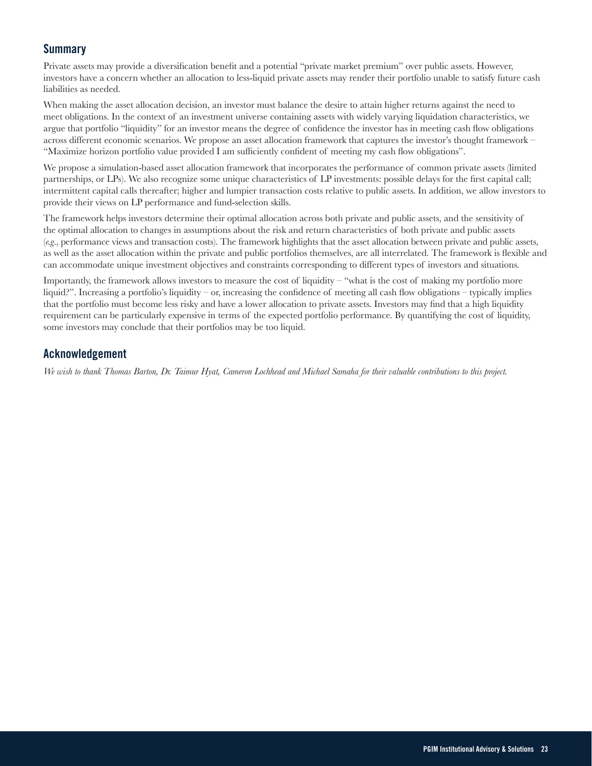## **Summary**

Private assets may provide a diversification benefit and a potential "private market premium" over public assets. However, investors have a concern whether an allocation to less-liquid private assets may render their portfolio unable to satisfy future cash liabilities as needed.

When making the asset allocation decision, an investor must balance the desire to attain higher returns against the need to meet obligations. In the context of an investment universe containing assets with widely varying liquidation characteristics, we argue that portfolio "liquidity" for an investor means the degree of confidence the investor has in meeting cash flow obligations across different economic scenarios. We propose an asset allocation framework that captures the investor's thought framework – "Maximize horizon portfolio value provided I am sufficiently confident of meeting my cash flow obligations".

We propose a simulation-based asset allocation framework that incorporates the performance of common private assets (limited partnerships, or LPs). We also recognize some unique characteristics of LP investments: possible delays for the first capital call; intermittent capital calls thereafter; higher and lumpier transaction costs relative to public assets. In addition, we allow investors to provide their views on LP performance and fund-selection skills.

The framework helps investors determine their optimal allocation across both private and public assets, and the sensitivity of the optimal allocation to changes in assumptions about the risk and return characteristics of both private and public assets (*e.g*., performance views and transaction costs). The framework highlights that the asset allocation between private and public assets, as well as the asset allocation within the private and public portfolios themselves, are all interrelated. The framework is flexible and can accommodate unique investment objectives and constraints corresponding to different types of investors and situations.

Importantly, the framework allows investors to measure the cost of liquidity – "what is the cost of making my portfolio more liquid?". Increasing a portfolio's liquidity – or, increasing the confidence of meeting all cash flow obligations – typically implies that the portfolio must become less risky and have a lower allocation to private assets. Investors may find that a high liquidity requirement can be particularly expensive in terms of the expected portfolio performance. By quantifying the cost of liquidity, some investors may conclude that their portfolios may be too liquid.

## **Acknowledgement**

*We wish to thank Thomas Barton, Dr. Taimur Hyat, Cameron Lochhead and Michael Samaha for their valuable contributions to this project.*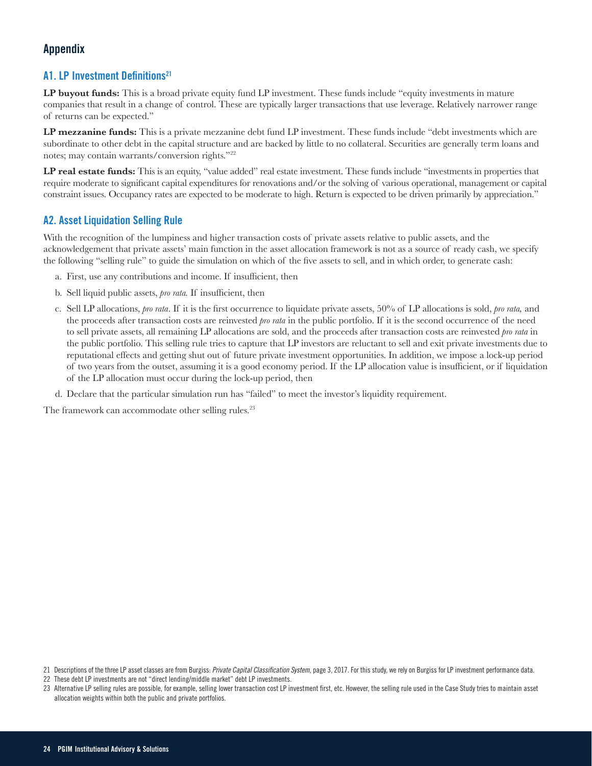## **Appendix**

## **A1. LP Investment Definitions21**

**LP buyout funds:** This is a broad private equity fund LP investment. These funds include "equity investments in mature companies that result in a change of control. These are typically larger transactions that use leverage. Relatively narrower range of returns can be expected."

**LP mezzanine funds:** This is a private mezzanine debt fund LP investment. These funds include "debt investments which are subordinate to other debt in the capital structure and are backed by little to no collateral. Securities are generally term loans and notes; may contain warrants/conversion rights."<sup>22</sup>

**LP real estate funds:** This is an equity, "value added" real estate investment. These funds include "investments in properties that require moderate to significant capital expenditures for renovations and/or the solving of various operational, management or capital constraint issues. Occupancy rates are expected to be moderate to high. Return is expected to be driven primarily by appreciation."

## **A2. Asset Liquidation Selling Rule**

With the recognition of the lumpiness and higher transaction costs of private assets relative to public assets, and the acknowledgement that private assets' main function in the asset allocation framework is not as a source of ready cash, we specify the following "selling rule" to guide the simulation on which of the five assets to sell, and in which order, to generate cash:

- a. First, use any contributions and income. If insufficient, then
- b. Sell liquid public assets, *pro rata.* If insufficient, then
- c. Sell LP allocations, *pro rata*. If it is the first occurrence to liquidate private assets, 50% of LP allocations is sold, *pro rata,* and the proceeds after transaction costs are reinvested *pro rata* in the public portfolio. If it is the second occurrence of the need to sell private assets, all remaining LP allocations are sold, and the proceeds after transaction costs are reinvested *pro rata* in the public portfolio. This selling rule tries to capture that LP investors are reluctant to sell and exit private investments due to reputational effects and getting shut out of future private investment opportunities. In addition, we impose a lock-up period of two years from the outset, assuming it is a good economy period. If the LP allocation value is insufficient, or if liquidation of the LP allocation must occur during the lock-up period, then
- d. Declare that the particular simulation run has "failed" to meet the investor's liquidity requirement.

The framework can accommodate other selling rules.<sup>23</sup>

<sup>21</sup> Descriptions of the three LP asset classes are from Burgiss: *Private Capital Classification System*, page 3, 2017. For this study, we rely on Burgiss for LP investment performance data.

<sup>22</sup> These debt LP investments are not "direct lending/middle market" debt LP investments.

<sup>23</sup> Alternative LP selling rules are possible, for example, selling lower transaction cost LP investment first, etc. However, the selling rule used in the Case Study tries to maintain asset allocation weights within both the public and private portfolios.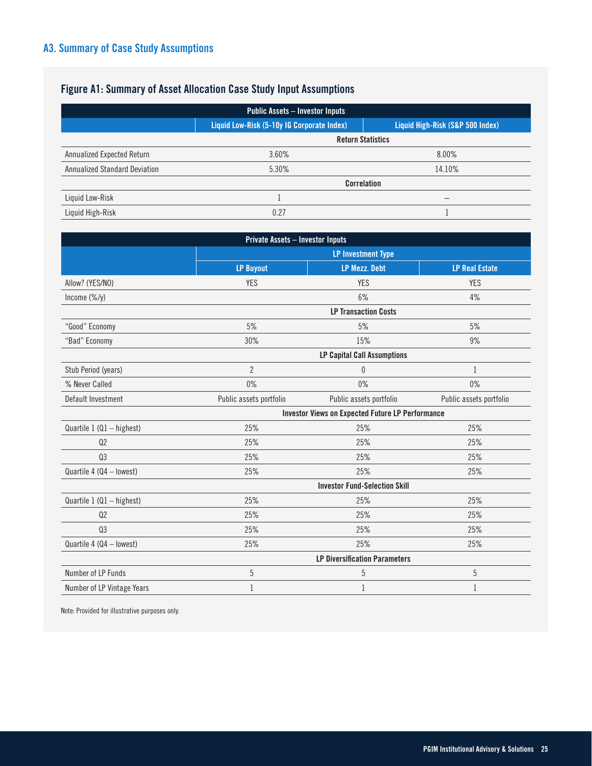# **Figure A1: Summary of Asset Allocation Case Study Input Assumptions**

| <b>Public Assets - Investor Inputs</b> |                                            |                                  |  |  |  |  |  |  |  |
|----------------------------------------|--------------------------------------------|----------------------------------|--|--|--|--|--|--|--|
|                                        | Liquid Low-Risk (5-10y IG Corporate Index) | Liquid High-Risk (S&P 500 Index) |  |  |  |  |  |  |  |
|                                        |                                            | <b>Return Statistics</b>         |  |  |  |  |  |  |  |
| Annualized Expected Return             | 3.60%                                      | 8.00%                            |  |  |  |  |  |  |  |
| <b>Annualized Standard Deviation</b>   | 5.30%                                      | 14.10%                           |  |  |  |  |  |  |  |
|                                        | <b>Correlation</b>                         |                                  |  |  |  |  |  |  |  |
| Liquid Low-Risk                        |                                            | -                                |  |  |  |  |  |  |  |
| Liquid High-Risk                       | 0.27                                       |                                  |  |  |  |  |  |  |  |

| <b>Private Assets - Investor Inputs</b> |                             |                                                         |                         |  |  |  |  |
|-----------------------------------------|-----------------------------|---------------------------------------------------------|-------------------------|--|--|--|--|
|                                         |                             | <b>LP Investment Type</b>                               |                         |  |  |  |  |
|                                         | <b>LP Buyout</b>            | <b>LP Mezz. Debt</b>                                    | <b>LP Real Estate</b>   |  |  |  |  |
| Allow? (YES/NO)                         | <b>YES</b>                  | <b>YES</b>                                              | <b>YES</b>              |  |  |  |  |
| Income (%/y)                            |                             | 6%                                                      | 4%                      |  |  |  |  |
|                                         | <b>LP Transaction Costs</b> |                                                         |                         |  |  |  |  |
| "Good" Economy                          | 5%                          | 5%                                                      | 5%                      |  |  |  |  |
| "Bad" Economy                           | 30%                         | 15%                                                     | 9%                      |  |  |  |  |
|                                         |                             | <b>LP Capital Call Assumptions</b>                      |                         |  |  |  |  |
| Stub Period (years)                     | $\overline{2}$              | 0                                                       | $\mathbf{1}$            |  |  |  |  |
| % Never Called                          | 0%                          | $0\%$                                                   | $0\%$                   |  |  |  |  |
| Default Investment                      | Public assets portfolio     | Public assets portfolio                                 | Public assets portfolio |  |  |  |  |
|                                         |                             | <b>Investor Views on Expected Future LP Performance</b> |                         |  |  |  |  |
| Quartile 1 (Q1 - highest)               | 25%                         | 25%                                                     | 25%                     |  |  |  |  |
| Q <sub>2</sub>                          | 25%                         | 25%                                                     | 25%                     |  |  |  |  |
| Q3                                      | 25%                         | 25%                                                     | 25%                     |  |  |  |  |
| Quartile 4 (Q4 - lowest)                | 25%                         | 25%                                                     | 25%                     |  |  |  |  |
|                                         |                             | <b>Investor Fund-Selection Skill</b>                    |                         |  |  |  |  |
| Quartile $1$ (Q1 - highest)             | 25%                         | 25%                                                     | 25%                     |  |  |  |  |
| Q <sub>2</sub>                          | 25%                         | 25%                                                     | 25%                     |  |  |  |  |
| Q <sub>3</sub>                          | 25%                         | 25%                                                     | 25%                     |  |  |  |  |
| Quartile 4 (Q4 - lowest)                | 25%                         | 25%                                                     | 25%                     |  |  |  |  |
|                                         |                             | <b>LP Diversification Parameters</b>                    |                         |  |  |  |  |
| Number of LP Funds                      | $\overline{5}$              | 5                                                       | 5                       |  |  |  |  |
| Number of LP Vintage Years              | 1                           | $\mathbf{1}$                                            | $\mathbf{1}$            |  |  |  |  |

Note: Provided for illustrative purposes only.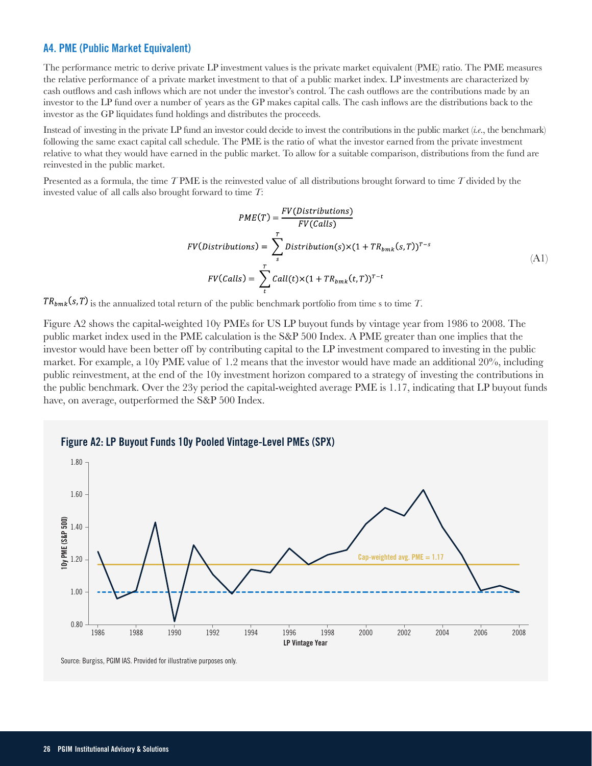#### **A4. PME (Public Market Equivalent)**

The performance metric to derive private LP investment values is the private market equivalent (PME) ratio. The PME measures the relative performance of a private market investment to that of a public market index. LP investments are characterized by cash outflows and cash inflows which are not under the investor's control. The cash outflows are the contributions made by an investor to the LP fund over a number of years as the GP makes capital calls. The cash inflows are the distributions back to the investor as the GP liquidates fund holdings and distributes the proceeds.

Instead of investing in the private LP fund an investor could decide to invest the contributions in the public market (*i.e*., the benchmark) following the same exact capital call schedule. The PME is the ratio of what the investor earned from the private investment relative to what they would have earned in the public market. To allow for a suitable comparison, distributions from the fund are reinvested in the public market.

Presented as a formula, the time *T* PME is the reinvested value of all distributions brought forward to time *T* divided by the invested value of all calls also brought forward to time *T*:

$$
PME(T) = \frac{FV(Distributions)}{FV(Calls)}
$$
  
\n
$$
FV(Distributions) = \sum_{s}^{T} Distribution(s) \times (1 + TR_{bmk}(s, T))^{T-s}
$$
  
\n
$$
FV(Calls) = \sum_{t}^{T} Call(t) \times (1 + TR_{bmk}(t, T))^{T-t}
$$
\n(A1)

 $TR_{bmk}(s, T)$  is the annualized total return of the public benchmark portfolio from time s to time *T*.

Figure A2 shows the capital-weighted 10y PMEs for US LP buyout funds by vintage year from 1986 to 2008. The public market index used in the PME calculation is the S&P 500 Index. A PME greater than one implies that the investor would have been better off by contributing capital to the LP investment compared to investing in the public market. For example, a 10y PME value of 1.2 means that the investor would have made an additional 20%, including public reinvestment, at the end of the 10y investment horizon compared to a strategy of investing the contributions in the public benchmark. Over the 23y period the capital-weighted average PME is 1.17, indicating that LP buyout funds have, on average, outperformed the S&P 500 Index.

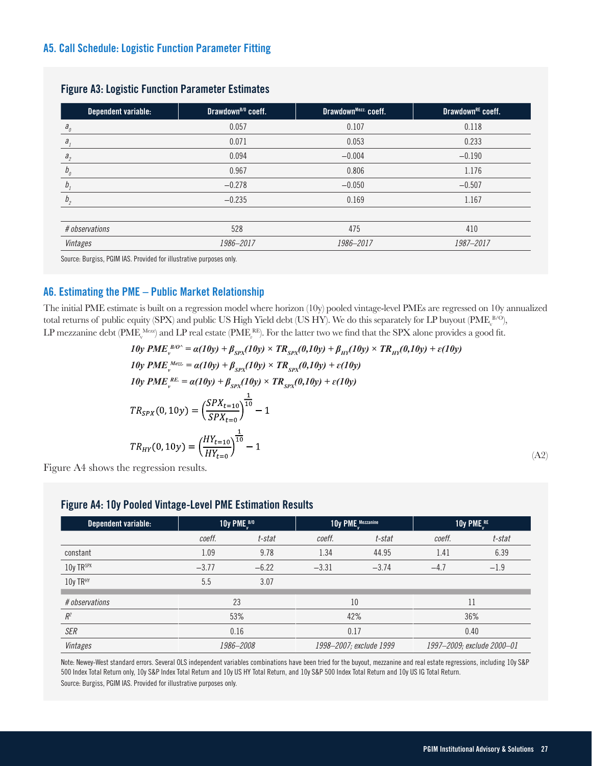## **A5. Call Schedule: Logistic Function Parameter Fitting**

| Dependent variable:        | Drawdown <sup>B/0</sup> coeff. | DrawdownMezz. coeff. | Drawdown <sup>RE</sup> coeff. |
|----------------------------|--------------------------------|----------------------|-------------------------------|
| $a_{\scriptscriptstyle 0}$ | 0.057                          | 0.107                | 0.118                         |
| $a_{i}$                    | 0.071                          | 0.053                | 0.233                         |
| a <sub>2</sub>             | 0.094                          | $-0.004$             | $-0.190$                      |
| $b_{\scriptscriptstyle 0}$ | 0.967                          | 0.806                | 1.176                         |
| b                          | $-0.278$                       | $-0.050$             | $-0.507$                      |
| b <sub>2</sub>             | $-0.235$                       | 0.169                | 1.167                         |
| # observations             | 528                            | 475                  | 410                           |
| Vintages                   | 1986-2017                      | 1986-2017            | 1987-2017                     |

#### **Figure A3: Logistic Function Parameter Estimates**

Source: Burgiss, PGIM IAS. Provided for illustrative purposes only.

## **A6. Estimating the PME – Public Market Relationship**

The initial PME estimate is built on a regression model where horizon (10y) pooled vintage-level PMEs are regressed on 10y annualized total returns of public equity (SPX) and public US High Yield debt (US HY). We do this separately for LP buyout (PME  $_0^{B/O}$ ), LP mezzanine debt (PME<sub>v</sub><sup>Mezz</sup>) and LP real estate (PME<sub>v</sub><sup>RE</sup>). For the latter two we find that the SPX alone provides a good fit.

$$
10y \ PME_{v}^{BO^{\wedge}} = \alpha(10y) + \beta_{SPX}(10y) \times TR_{SPX}(0,10y) + \beta_{HY}(10y) \times TR_{HY}(0,10y) + \varepsilon(10y)
$$
  
\n
$$
10y \ PME_{v}^{Mez} = \alpha(10y) + \beta_{SPX}(10y) \times TR_{SPX}(0,10y) + \varepsilon(10y)
$$
  
\n
$$
10y \ PME_{v}^{RE} = \alpha(10y) + \beta_{SPX}(10y) \times TR_{SPX}(0,10y) + \varepsilon(10y)
$$
  
\n
$$
TR_{SPX}(0,10y) = \left(\frac{SPX_{t=10}}{SPX_{t=0}}\right)^{\frac{1}{10}} - 1
$$
  
\n
$$
TR_{HY}(0,10y) = \left(\frac{HY_{t=10}}{HY_{t=0}}\right)^{\frac{1}{10}} - 1
$$

Figure A4 shows the regression results.

(A2)

## **Figure A4: 10y Pooled Vintage-Level PME Estimation Results**

| Dependent variable: | 10y PME $_{\nu}^{\text{B/O}}$ |         |                         | 10y PME Mezzanine | 10y PME <sup>RE</sup>      |        |
|---------------------|-------------------------------|---------|-------------------------|-------------------|----------------------------|--------|
|                     | coeff.                        | t-stat  | coeff.                  | t-stat            | coeff.                     | t-stat |
| constant            | 1.09                          | 9.78    | 1.34                    | 44.95             | 1.41                       | 6.39   |
| 10y TRSPX           | $-3.77$                       | $-6.22$ | $-3.31$                 | $-3.74$           | $-4.7$                     | $-1.9$ |
| 10y TRHY            | 5.5                           | 3.07    |                         |                   |                            |        |
| # observations      | 23                            |         | 10                      |                   | 11                         |        |
| $R^2$               | 53%                           |         | 42%                     |                   | 36%                        |        |
| SER                 | 0.16                          |         | 0.17                    |                   | 0.40                       |        |
| Vintages            | 1986-2008                     |         | 1998-2007; exclude 1999 |                   | 1997-2009; exclude 2000-01 |        |

Note: Newey-West standard errors. Several OLS independent variables combinations have been tried for the buyout, mezzanine and real estate regressions, including 10y S&P 500 Index Total Return only, 10y S&P Index Total Return and 10y US HY Total Return, and 10y S&P 500 Index Total Return and 10y US IG Total Return. Source: Burgiss, PGIM IAS. Provided for illustrative purposes only.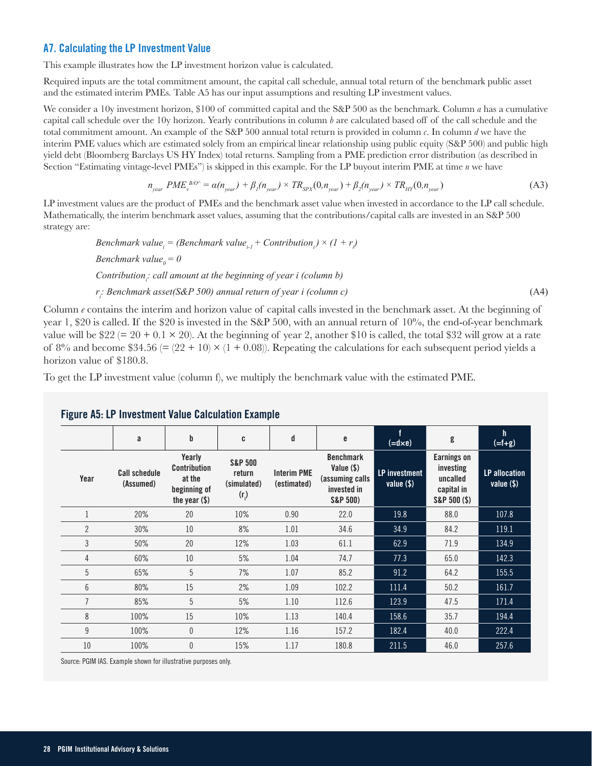## **A7. Calculating the LP Investment Value**

This example illustrates how the LP investment horizon value is calculated.

Required inputs are the total commitment amount, the capital call schedule, annual total return of the benchmark public asset and the estimated interim PMEs. Table A5 has our input assumptions and resulting LP investment values.

We consider a 10y investment horizon, \$100 of committed capital and the S&P 500 as the benchmark. Column *a* has a cumulative capital call schedule over the 10y horizon. Yearly contributions in column *b* are calculated based off of the call schedule and the total commitment amount. An example of the S&P 500 annual total return is provided in column *c*. In column *d* we have the interim PME values which are estimated solely from an empirical linear relationship using public equity (S&P 500) and public high yield debt (Bloomberg Barclays US HY Index) total returns. Sampling from a PME prediction error distribution (as described in Section "Estimating vintage-level PMEs") is skipped in this example. For the LP buyout interim PME at time *n* we have

$$
n_{year} PME_v^{B/O^*} = \alpha(n_{year}) + \beta_1(n_{year}) \times TR_{SPX}(0, n_{year}) + \beta_2(n_{year}) \times TR_{HY}(0, n_{year})
$$
\n(A3)

LP investment values are the product of PMEs and the benchmark asset value when invested in accordance to the LP call schedule. Mathematically, the interim benchmark asset values, assuming that the contributions/capital calls are invested in an S&P 500 strategy are:

> *Benchmark value<sub>i</sub>* = *(Benchmark value<sub>i-1</sub></sub> + Contribution<sub>i</sub>) × (1 + r<sub>i</sub>) Benchmark value*<sup> $0 = 0$ </sup> Contribution<sub>i</sub>: call amount at the beginning of year i (column b) *ri : Benchmark asset(S&P 500) annual return of year i (column c)* (A4)

Column *e* contains the interim and horizon value of capital calls invested in the benchmark asset. At the beginning of year 1, \$20 is called. If the \$20 is invested in the S&P 500, with an annual return of 10%, the end-of-year benchmark value will be  $$22 (= 20 + 0.1 \times 20)$ . At the beginning of year 2, another \$10 is called, the total \$32 will grow at a rate of 8% and become \$34.56 (=  $(22 + 10) \times (1 + 0.08)$ ). Repeating the calculations for each subsequent period yields a horizon value of \$180.8.

To get the LP investment value (column f), we multiply the benchmark value with the estimated PME.

|                | a                                 | b                                                                          | C                                                      | d                                 | e                                                                              | f<br>$(=\mathsf{d} \times \mathsf{e})$ | g                                                                         | h<br>$( = f + g)$                    |
|----------------|-----------------------------------|----------------------------------------------------------------------------|--------------------------------------------------------|-----------------------------------|--------------------------------------------------------------------------------|----------------------------------------|---------------------------------------------------------------------------|--------------------------------------|
| Year           | <b>Call schedule</b><br>(Assumed) | Yearly<br><b>Contribution</b><br>at the<br>beginning of<br>the year $(\$)$ | <b>S&amp;P 500</b><br>return<br>(simulated)<br>$(r_i)$ | <b>Interim PME</b><br>(estimated) | <b>Benchmark</b><br>Value $(\$ )<br>(assuming calls<br>invested in<br>S&P 500) | <b>LP</b> investment<br>value $(\$)$   | <b>Earnings on</b><br>investing<br>uncalled<br>capital in<br>S&P 500 (\$) | <b>LP</b> allocation<br>value $(\$)$ |
|                | 20%                               | 20                                                                         | 10%                                                    | 0.90                              | 22.0                                                                           | 19.8                                   | 88.0                                                                      | 107.8                                |
| $\overline{2}$ | 30%                               | 10                                                                         | 8%                                                     | 1.01                              | 34.6                                                                           | 34.9                                   | 84.2                                                                      | 119.1                                |
| 3              | 50%                               | 20                                                                         | 12%                                                    | 1.03                              | 61.1                                                                           | 62.9                                   | 71.9                                                                      | 134.9                                |
| 4              | 60%                               | 10                                                                         | 5%                                                     | 1.04                              | 74.7                                                                           | 77.3                                   | 65.0                                                                      | 142.3                                |
| $\overline{5}$ | 65%                               | 5                                                                          | 7%                                                     | 1.07                              | 85.2                                                                           | 91.2                                   | 64.2                                                                      | 155.5                                |
| 6              | 80%                               | 15                                                                         | 2%                                                     | 1.09                              | 102.2                                                                          | 111.4                                  | 50.2                                                                      | 161.7                                |
| $\overline{7}$ | 85%                               | 5                                                                          | 5%                                                     | 1.10                              | 112.6                                                                          | 123.9                                  | 47.5                                                                      | 171.4                                |
| 8              | 100%                              | 15                                                                         | 10%                                                    | 1.13                              | 140.4                                                                          | 158.6                                  | 35.7                                                                      | 194.4                                |
| 9              | 100%                              | 0                                                                          | 12%                                                    | 1.16                              | 157.2                                                                          | 182.4                                  | 40.0                                                                      | 222.4                                |
| 10             | 100%                              | 0                                                                          | 15%                                                    | 1.17                              | 180.8                                                                          | 211.5                                  | 46.0                                                                      | 257.6                                |

## **Figure A5: LP Investment Value Calculation Example**

Source: PGIM IAS. Example shown for illustrative purposes only.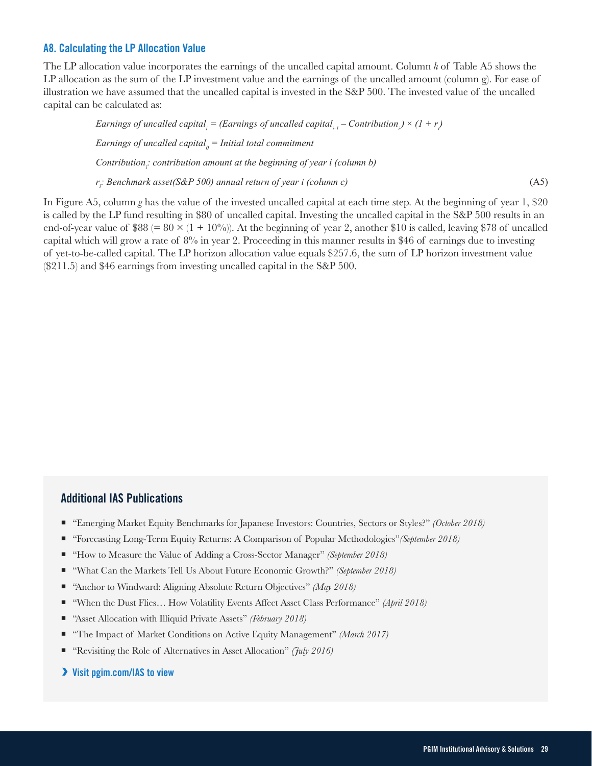#### **A8. Calculating the LP Allocation Value**

The LP allocation value incorporates the earnings of the uncalled capital amount. Column *h* of Table A5 shows the LP allocation as the sum of the LP investment value and the earnings of the uncalled amount (column g). For ease of illustration we have assumed that the uncalled capital is invested in the S&P 500. The invested value of the uncalled capital can be calculated as:

*Earnings of uncalled capital<sub>i</sub>* = *(Earnings of uncalled capital<sub>i-1</sub> – Contribution<sub>i</sub>) ×*  $(1 + r)$ *Earnings of uncalled capital0 = Initial total commitment* Contribution<sub>i</sub>: contribution amount at the beginning of year i (column b) *ri : Benchmark asset(S&P 500) annual return of year i (column c)* (A5)

In Figure A5, column *g* has the value of the invested uncalled capital at each time step. At the beginning of year 1, \$20 is called by the LP fund resulting in \$80 of uncalled capital. Investing the uncalled capital in the S&P 500 results in an end-of-year value of \$88 (=  $80 \times (1 + 10\%)$ ). At the beginning of year 2, another \$10 is called, leaving \$78 of uncalled capital which will grow a rate of  $8\%$  in year 2. Proceeding in this manner results in \$46 of earnings due to investing of yet-to-be-called capital. The LP horizon allocation value equals \$257.6, the sum of LP horizon investment value (\$211.5) and \$46 earnings from investing uncalled capital in the S&P 500.

#### **Additional IAS Publications**

- "Emerging Market Equity Benchmarks for Japanese Investors: Countries, Sectors or Styles?" *(October 2018)*
- "Forecasting Long-Term Equity Returns: A Comparison of Popular Methodologies" (September 2018)
- "How to Measure the Value of Adding a Cross-Sector Manager" *(September 2018)*
- "What Can the Markets Tell Us About Future Economic Growth?" *(September 2018)*
- "Anchor to Windward: Aligning Absolute Return Objectives" *(May 2018)*
- "When the Dust Flies... How Volatility Events Affect Asset Class Performance" *(April 2018)*
- "Asset Allocation with Illiquid Private Assets" *(February 2018)*
- "The Impact of Market Conditions on Active Equity Management" *(March 2017)*
- "Revisiting the Role of Alternatives in Asset Allocation" *(July 2016)*
- **Visit pgim.com/IAS to view**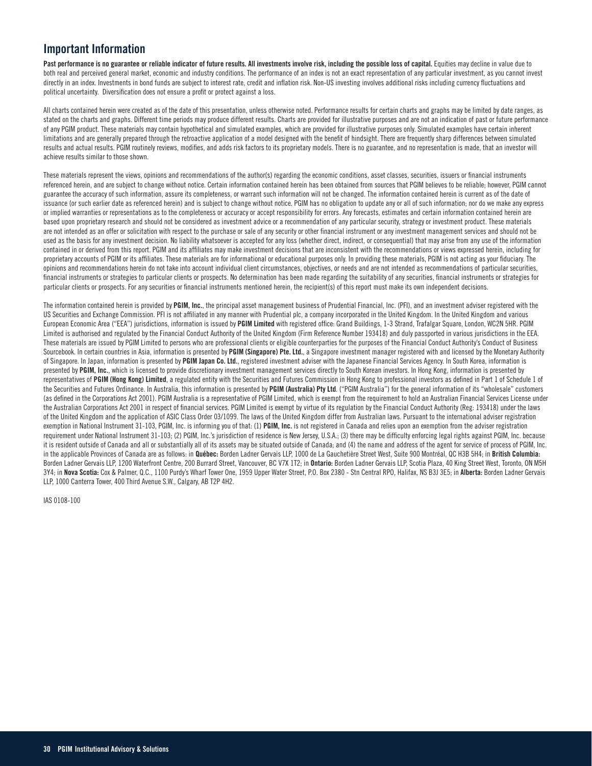## **Important Information**

Past performance is no guarantee or reliable indicator of future results. All investments involve risk, including the possible loss of capital. Equities may decline in value due to both real and perceived general market, economic and industry conditions. The performance of an index is not an exact representation of any particular investment, as you cannot invest directly in an index. Investments in bond funds are subject to interest rate, credit and inflation risk. Non-US investing involves additional risks including currency fluctuations and political uncertainty. Diversification does not ensure a profit or protect against a loss.

All charts contained herein were created as of the date of this presentation, unless otherwise noted. Performance results for certain charts and graphs may be limited by date ranges, as stated on the charts and graphs. Different time periods may produce different results. Charts are provided for illustrative purposes and are not an indication of past or future performance of any PGIM product. These materials may contain hypothetical and simulated examples, which are provided for illustrative purposes only. Simulated examples have certain inherent limitations and are generally prepared through the retroactive application of a model designed with the benefit of hindsight. There are frequently sharp differences between simulated results and actual results. PGIM routinely reviews, modifies, and adds risk factors to its proprietary models. There is no guarantee, and no representation is made, that an investor will achieve results similar to those shown.

These materials represent the views, opinions and recommendations of the author(s) regarding the economic conditions, asset classes, securities, issuers or financial instruments referenced herein, and are subject to change without notice. Certain information contained herein has been obtained from sources that PGIM believes to be reliable; however, PGIM cannot guarantee the accuracy of such information, assure its completeness, or warrant such information will not be changed. The information contained herein is current as of the date of issuance (or such earlier date as referenced herein) and is subject to change without notice. PGIM has no obligation to update any or all of such information; nor do we make any express or implied warranties or representations as to the completeness or accuracy or accept responsibility for errors. Any forecasts, estimates and certain information contained herein are based upon proprietary research and should not be considered as investment advice or a recommendation of any particular security, strategy or investment product. These materials are not intended as an offer or solicitation with respect to the purchase or sale of any security or other financial instrument or any investment management services and should not be used as the basis for any investment decision. No liability whatsoever is accepted for any loss (whether direct, indirect, or consequential) that may arise from any use of the information contained in or derived from this report. PGIM and its affiliates may make investment decisions that are inconsistent with the recommendations or views expressed herein, including for proprietary accounts of PGIM or its affiliates. These materials are for informational or educational purposes only. In providing these materials, PGIM is not acting as your fiduciary. The opinions and recommendations herein do not take into account individual client circumstances, objectives, or needs and are not intended as recommendations of particular securities, financial instruments or strategies to particular clients or prospects. No determination has been made regarding the suitability of any securities, financial instruments or strategies for particular clients or prospects. For any securities or financial instruments mentioned herein, the recipient(s) of this report must make its own independent decisions.

The information contained herein is provided by **PGIM, Inc.**, the principal asset management business of Prudential Financial, Inc. (PFI), and an investment adviser registered with the US Securities and Exchange Commission. PFI is not affiliated in any manner with Prudential plc, a company incorporated in the United Kingdom. In the United Kingdom and various European Economic Area ("EEA") jurisdictions, information is issued by **PGIM Limited** with registered office: Grand Buildings, 1-3 Strand, Trafalgar Square, London, WC2N 5HR. PGIM Limited is authorised and regulated by the Financial Conduct Authority of the United Kingdom (Firm Reference Number 193418) and duly passported in various jurisdictions in the EEA. These materials are issued by PGIM Limited to persons who are professional clients or eligible counterparties for the purposes of the Financial Conduct Authority's Conduct of Business Sourcebook. In certain countries in Asia, information is presented by PGIM (Singapore) Pte. Ltd., a Singapore investment manager registered with and licensed by the Monetary Authority of Singapore. In Japan, information is presented by **PGIM Japan Co. Ltd.**, registered investment adviser with the Japanese Financial Services Agency. In South Korea, information is presented by **PGIM, Inc.**, which is licensed to provide discretionary investment management services directly to South Korean investors. In Hong Kong, information is presented by representatives of PGIM (Hong Kong) Limited, a regulated entity with the Securities and Futures Commission in Hong Kong to professional investors as defined in Part 1 of Schedule 1 of the Securities and Futures Ordinance. In Australia, this information is presented by **PGIM (Australia) Pty Ltd**. ("PGIM Australia") for the general information of its "wholesale" customers (as defined in the Corporations Act 2001). PGIM Australia is a representative of PGIM Limited, which is exempt from the requirement to hold an Australian Financial Services License under the Australian Corporations Act 2001 in respect of financial services. PGIM Limited is exempt by virtue of its regulation by the Financial Conduct Authority (Reg: 193418) under the laws of the United Kingdom and the application of ASIC Class Order 03/1099. The laws of the United Kingdom differ from Australian laws. Pursuant to the international adviser registration exemption in National Instrument 31-103, PGIM, Inc. is informing you of that: (1) PGIM, Inc. is not registered in Canada and relies upon an exemption from the adviser registration requirement under National Instrument 31-103; (2) PGIM, Inc.'s jurisdiction of residence is New Jersey, U.S.A.; (3) there may be difficulty enforcing legal rights against PGIM, Inc. because it is resident outside of Canada and all or substantially all of its assets may be situated outside of Canada; and (4) the name and address of the agent for service of process of PGIM, Inc. in the applicable Provinces of Canada are as follows: in **Québec:** Borden Ladner Gervais LLP, 1000 de La Gauchetière Street West, Suite 900 Montréal, QC H3B 5H4; in **British Columbia:** Borden Ladner Gervais LLP, 1200 Waterfront Centre, 200 Burrard Street, Vancouver, BC V7X 1T2; in **Ontario:** Borden Ladner Gervais LLP, Scotia Plaza, 40 King Street West, Toronto, ON M5H 3Y4; in **Nova Scotia:** Cox & Palmer, Q.C., 1100 Purdy's Wharf Tower One, 1959 Upper Water Street, P.O. Box 2380 - Stn Central RPO, Halifax, NS B3J 3E5; in **Alberta:** Borden Ladner Gervais LLP, 1000 Canterra Tower, 400 Third Avenue S.W., Calgary, AB T2P 4H2.

IAS 0108-100